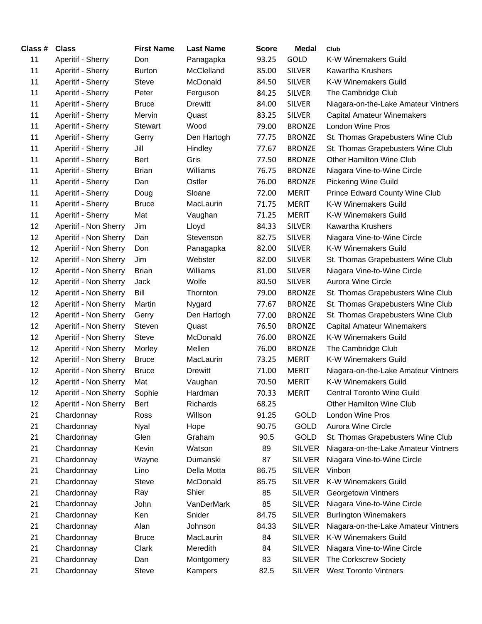| Class # | <b>Class</b>          | <b>First Name</b> | <b>Last Name</b> | <b>Score</b> | Medal         | Club                                 |
|---------|-----------------------|-------------------|------------------|--------------|---------------|--------------------------------------|
| 11      | Aperitif - Sherry     | Don               | Panagapka        | 93.25        | GOLD          | K-W Winemakers Guild                 |
| 11      | Aperitif - Sherry     | <b>Burton</b>     | McClelland       | 85.00        | <b>SILVER</b> | <b>Kawartha Krushers</b>             |
| 11      | Aperitif - Sherry     | <b>Steve</b>      | McDonald         | 84.50        | <b>SILVER</b> | K-W Winemakers Guild                 |
| 11      | Aperitif - Sherry     | Peter             | Ferguson         | 84.25        | <b>SILVER</b> | The Cambridge Club                   |
| 11      | Aperitif - Sherry     | <b>Bruce</b>      | <b>Drewitt</b>   | 84.00        | <b>SILVER</b> | Niagara-on-the-Lake Amateur Vintners |
| 11      | Aperitif - Sherry     | Mervin            | Quast            | 83.25        | <b>SILVER</b> | <b>Capital Amateur Winemakers</b>    |
| 11      | Aperitif - Sherry     | <b>Stewart</b>    | Wood             | 79.00        | <b>BRONZE</b> | London Wine Pros                     |
| 11      | Aperitif - Sherry     | Gerry             | Den Hartogh      | 77.75        | <b>BRONZE</b> | St. Thomas Grapebusters Wine Club    |
| 11      | Aperitif - Sherry     | Jill              | Hindley          | 77.67        | <b>BRONZE</b> | St. Thomas Grapebusters Wine Club    |
| 11      | Aperitif - Sherry     | <b>Bert</b>       | Gris             | 77.50        | <b>BRONZE</b> | Other Hamilton Wine Club             |
| 11      | Aperitif - Sherry     | <b>Brian</b>      | Williams         | 76.75        | <b>BRONZE</b> | Niagara Vine-to-Wine Circle          |
| 11      | Aperitif - Sherry     | Dan               | Ostler           | 76.00        | <b>BRONZE</b> | <b>Pickering Wine Guild</b>          |
| 11      | Aperitif - Sherry     | Doug              | Sloane           | 72.00        | <b>MERIT</b>  | Prince Edward County Wine Club       |
| 11      | Aperitif - Sherry     | <b>Bruce</b>      | MacLaurin        | 71.75        | <b>MERIT</b>  | K-W Winemakers Guild                 |
| 11      | Aperitif - Sherry     | Mat               | Vaughan          | 71.25        | <b>MERIT</b>  | K-W Winemakers Guild                 |
| 12      | Aperitif - Non Sherry | Jim               | Lloyd            | 84.33        | <b>SILVER</b> | <b>Kawartha Krushers</b>             |
| 12      | Aperitif - Non Sherry | Dan               | Stevenson        | 82.75        | <b>SILVER</b> | Niagara Vine-to-Wine Circle          |
| 12      | Aperitif - Non Sherry | Don               | Panagapka        | 82.00        | <b>SILVER</b> | K-W Winemakers Guild                 |
| 12      | Aperitif - Non Sherry | Jim               | Webster          | 82.00        | <b>SILVER</b> | St. Thomas Grapebusters Wine Club    |
| 12      | Aperitif - Non Sherry | <b>Brian</b>      | Williams         | 81.00        | <b>SILVER</b> | Niagara Vine-to-Wine Circle          |
| 12      | Aperitif - Non Sherry | Jack              | Wolfe            | 80.50        | <b>SILVER</b> | Aurora Wine Circle                   |
| 12      | Aperitif - Non Sherry | Bill              | Thornton         | 79.00        | <b>BRONZE</b> | St. Thomas Grapebusters Wine Club    |
| 12      | Aperitif - Non Sherry | Martin            | Nygard           | 77.67        | <b>BRONZE</b> | St. Thomas Grapebusters Wine Club    |
| 12      | Aperitif - Non Sherry | Gerry             | Den Hartogh      | 77.00        | <b>BRONZE</b> | St. Thomas Grapebusters Wine Club    |
| 12      | Aperitif - Non Sherry | Steven            | Quast            | 76.50        | <b>BRONZE</b> | <b>Capital Amateur Winemakers</b>    |
| 12      | Aperitif - Non Sherry | <b>Steve</b>      | McDonald         | 76.00        | <b>BRONZE</b> | K-W Winemakers Guild                 |
| 12      | Aperitif - Non Sherry | Morley            | Mellen           | 76.00        | <b>BRONZE</b> | The Cambridge Club                   |
| 12      | Aperitif - Non Sherry | <b>Bruce</b>      | MacLaurin        | 73.25        | <b>MERIT</b>  | K-W Winemakers Guild                 |
| 12      | Aperitif - Non Sherry | <b>Bruce</b>      | <b>Drewitt</b>   | 71.00        | <b>MERIT</b>  | Niagara-on-the-Lake Amateur Vintners |
| 12      | Aperitif - Non Sherry | Mat               | Vaughan          | 70.50        | <b>MERIT</b>  | K-W Winemakers Guild                 |
| 12      | Aperitif - Non Sherry | Sophie            | Hardman          | 70.33        | <b>MERIT</b>  | <b>Central Toronto Wine Guild</b>    |
| 12      | Aperitif - Non Sherry | Bert              | Richards         | 68.25        |               | Other Hamilton Wine Club             |
| 21      | Chardonnay            | Ross              | Willson          | 91.25        | GOLD          | London Wine Pros                     |
| 21      | Chardonnay            | Nyal              | Hope             | 90.75        | <b>GOLD</b>   | <b>Aurora Wine Circle</b>            |
| 21      | Chardonnay            | Glen              | Graham           | 90.5         | GOLD          | St. Thomas Grapebusters Wine Club    |
| 21      | Chardonnay            | Kevin             | Watson           | 89           | <b>SILVER</b> | Niagara-on-the-Lake Amateur Vintners |
| 21      | Chardonnay            | Wayne             | Dumanski         | 87           | <b>SILVER</b> | Niagara Vine-to-Wine Circle          |
| 21      | Chardonnay            | Lino              | Della Motta      | 86.75        | <b>SILVER</b> | Vinbon                               |
| 21      | Chardonnay            | <b>Steve</b>      | McDonald         | 85.75        | <b>SILVER</b> | <b>K-W Winemakers Guild</b>          |
| 21      | Chardonnay            | Ray               | Shier            | 85           | <b>SILVER</b> | Georgetown Vintners                  |
| 21      | Chardonnay            | John              | VanDerMark       | 85           | <b>SILVER</b> | Niagara Vine-to-Wine Circle          |
| 21      | Chardonnay            | Ken               | Snider           | 84.75        | <b>SILVER</b> | <b>Burlington Winemakers</b>         |
| 21      | Chardonnay            | Alan              | Johnson          | 84.33        | <b>SILVER</b> | Niagara-on-the-Lake Amateur Vintners |
| 21      | Chardonnay            | <b>Bruce</b>      | MacLaurin        | 84           | <b>SILVER</b> | K-W Winemakers Guild                 |
| 21      | Chardonnay            | Clark             | Meredith         | 84           | <b>SILVER</b> | Niagara Vine-to-Wine Circle          |
| 21      | Chardonnay            | Dan               | Montgomery       | 83           | <b>SILVER</b> | The Corkscrew Society                |
| 21      | Chardonnay            | Steve             | Kampers          | 82.5         | <b>SILVER</b> | <b>West Toronto Vintners</b>         |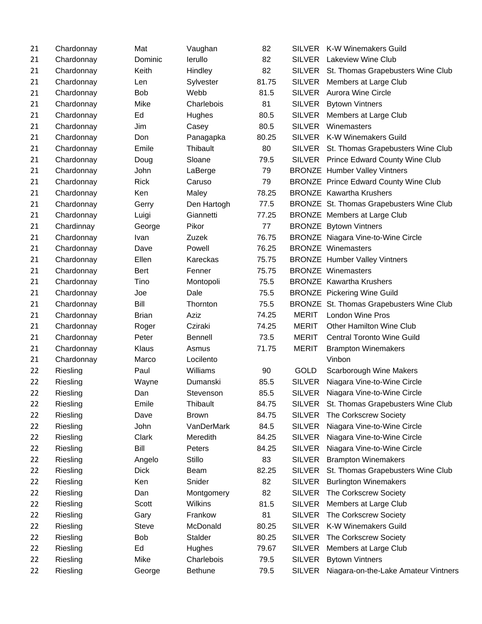| 21 | Chardonnay | Mat          | Vaughan        | 82    | <b>SILVER</b> | <b>K-W Winemakers Guild</b>                  |
|----|------------|--------------|----------------|-------|---------------|----------------------------------------------|
| 21 | Chardonnay | Dominic      | lerullo        | 82    | <b>SILVER</b> | <b>Lakeview Wine Club</b>                    |
| 21 | Chardonnay | Keith        | Hindley        | 82    |               | SILVER St. Thomas Grapebusters Wine Club     |
| 21 | Chardonnay | Len          | Sylvester      | 81.75 | <b>SILVER</b> | Members at Large Club                        |
| 21 | Chardonnay | <b>Bob</b>   | Webb           | 81.5  | <b>SILVER</b> | <b>Aurora Wine Circle</b>                    |
| 21 | Chardonnay | Mike         | Charlebois     | 81    | <b>SILVER</b> | <b>Bytown Vintners</b>                       |
| 21 | Chardonnay | Ed           | Hughes         | 80.5  | <b>SILVER</b> | Members at Large Club                        |
| 21 | Chardonnay | Jim          | Casey          | 80.5  | <b>SILVER</b> | Winemasters                                  |
| 21 | Chardonnay | Don          | Panagapka      | 80.25 | <b>SILVER</b> | <b>K-W Winemakers Guild</b>                  |
| 21 | Chardonnay | Emile        | Thibault       | 80    | SILVER        | St. Thomas Grapebusters Wine Club            |
| 21 | Chardonnay | Doug         | Sloane         | 79.5  |               | SILVER Prince Edward County Wine Club        |
| 21 | Chardonnay | John         | LaBerge        | 79    |               | <b>BRONZE</b> Humber Valley Vintners         |
| 21 | Chardonnay | <b>Rick</b>  | Caruso         | 79    |               | <b>BRONZE Prince Edward County Wine Club</b> |
| 21 | Chardonnay | Ken          | Maley          | 78.25 |               | <b>BRONZE</b> Kawartha Krushers              |
| 21 | Chardonnay | Gerry        | Den Hartogh    | 77.5  |               | BRONZE St. Thomas Grapebusters Wine Club     |
| 21 | Chardonnay | Luigi        | Giannetti      | 77.25 |               | <b>BRONZE</b> Members at Large Club          |
| 21 | Chardinnay | George       | Pikor          | 77    |               | <b>BRONZE</b> Bytown Vintners                |
| 21 | Chardonnay | Ivan         | Zuzek          | 76.75 |               | <b>BRONZE</b> Niagara Vine-to-Wine Circle    |
| 21 | Chardonnay | Dave         | Powell         | 76.25 |               | <b>BRONZE Winemasters</b>                    |
| 21 | Chardonnay | Ellen        | Kareckas       | 75.75 |               | <b>BRONZE</b> Humber Valley Vintners         |
| 21 | Chardonnay | <b>Bert</b>  | Fenner         | 75.75 |               | <b>BRONZE</b> Winemasters                    |
| 21 | Chardonnay | Tino         | Montopoli      | 75.5  |               | <b>BRONZE</b> Kawartha Krushers              |
| 21 | Chardonnay | Joe          | Dale           | 75.5  |               | <b>BRONZE</b> Pickering Wine Guild           |
| 21 | Chardonnay | Bill         | Thornton       | 75.5  |               | BRONZE St. Thomas Grapebusters Wine Club     |
| 21 | Chardonnay | <b>Brian</b> | Aziz           | 74.25 | <b>MERIT</b>  | <b>London Wine Pros</b>                      |
| 21 | Chardonnay | Roger        | Cziraki        | 74.25 | <b>MERIT</b>  | Other Hamilton Wine Club                     |
| 21 | Chardonnay | Peter        | <b>Bennell</b> | 73.5  | <b>MERIT</b>  | <b>Central Toronto Wine Guild</b>            |
| 21 | Chardonnay | Klaus        | Asmus          | 71.75 | <b>MERIT</b>  | <b>Brampton Winemakers</b>                   |
| 21 | Chardonnay | Marco        | Locilento      |       |               | Vinbon                                       |
| 22 | Riesling   | Paul         | Williams       | 90    | <b>GOLD</b>   | Scarborough Wine Makers                      |
| 22 | Riesling   | Wayne        | Dumanski       | 85.5  | <b>SILVER</b> | Niagara Vine-to-Wine Circle                  |
| 22 | Riesling   | Dan          | Stevenson      | 85.5  | <b>SILVER</b> | Niagara Vine-to-Wine Circle                  |
| 22 | Riesling   | Emile        | Thibault       | 84.75 | SILVER        | St. Thomas Grapebusters Wine Club            |
| 22 | Riesling   | Dave         | <b>Brown</b>   | 84.75 | <b>SILVER</b> | The Corkscrew Society                        |
| 22 | Riesling   | John         | VanDerMark     | 84.5  | <b>SILVER</b> | Niagara Vine-to-Wine Circle                  |
| 22 | Riesling   | Clark        | Meredith       | 84.25 | <b>SILVER</b> | Niagara Vine-to-Wine Circle                  |
| 22 | Riesling   | Bill         | Peters         | 84.25 | <b>SILVER</b> | Niagara Vine-to-Wine Circle                  |
| 22 | Riesling   | Angelo       | Stillo         | 83    | <b>SILVER</b> | <b>Brampton Winemakers</b>                   |
| 22 | Riesling   | <b>Dick</b>  | Beam           | 82.25 | <b>SILVER</b> | St. Thomas Grapebusters Wine Club            |
| 22 | Riesling   | Ken          | Snider         | 82    | <b>SILVER</b> | <b>Burlington Winemakers</b>                 |
| 22 | Riesling   | Dan          | Montgomery     | 82    | <b>SILVER</b> | The Corkscrew Society                        |
| 22 | Riesling   | Scott        | Wilkins        | 81.5  | <b>SILVER</b> | Members at Large Club                        |
| 22 | Riesling   | Gary         | Frankow        | 81    | <b>SILVER</b> | The Corkscrew Society                        |
| 22 | Riesling   | <b>Steve</b> | McDonald       | 80.25 | <b>SILVER</b> | K-W Winemakers Guild                         |
| 22 | Riesling   | <b>Bob</b>   | Stalder        | 80.25 | <b>SILVER</b> | The Corkscrew Society                        |
| 22 | Riesling   | Ed           | Hughes         | 79.67 | <b>SILVER</b> | Members at Large Club                        |
| 22 | Riesling   | Mike         | Charlebois     | 79.5  | <b>SILVER</b> | <b>Bytown Vintners</b>                       |
| 22 | Riesling   | George       | <b>Bethune</b> | 79.5  | <b>SILVER</b> | Niagara-on-the-Lake Amateur Vintners         |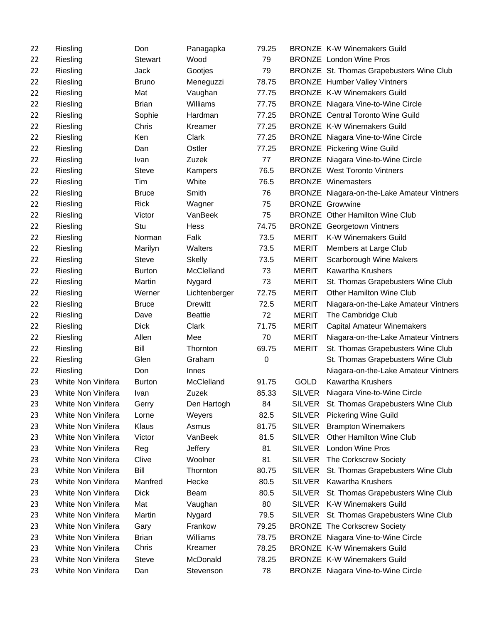| 22 | Riesling                  | Don            | Panagapka      | 79.25 |               | <b>BRONZE K-W Winemakers Guild</b>          |
|----|---------------------------|----------------|----------------|-------|---------------|---------------------------------------------|
| 22 | Riesling                  | <b>Stewart</b> | Wood           | 79    |               | <b>BRONZE</b> London Wine Pros              |
| 22 | Riesling                  | Jack           | Gootjes        | 79    |               | BRONZE St. Thomas Grapebusters Wine Club    |
| 22 | Riesling                  | <b>Bruno</b>   | Meneguzzi      | 78.75 |               | <b>BRONZE</b> Humber Valley Vintners        |
| 22 | Riesling                  | Mat            | Vaughan        | 77.75 |               | <b>BRONZE K-W Winemakers Guild</b>          |
| 22 | Riesling                  | <b>Brian</b>   | Williams       | 77.75 |               | <b>BRONZE</b> Niagara Vine-to-Wine Circle   |
| 22 | Riesling                  | Sophie         | Hardman        | 77.25 |               | <b>BRONZE</b> Central Toronto Wine Guild    |
| 22 | Riesling                  | Chris          | Kreamer        | 77.25 |               | <b>BRONZE K-W Winemakers Guild</b>          |
| 22 | Riesling                  | Ken            | Clark          | 77.25 |               | <b>BRONZE</b> Niagara Vine-to-Wine Circle   |
| 22 | Riesling                  | Dan            | Ostler         | 77.25 |               | <b>BRONZE</b> Pickering Wine Guild          |
| 22 | Riesling                  | Ivan           | Zuzek          | 77    |               | <b>BRONZE</b> Niagara Vine-to-Wine Circle   |
| 22 | Riesling                  | <b>Steve</b>   | Kampers        | 76.5  |               | <b>BRONZE</b> West Toronto Vintners         |
| 22 | Riesling                  | Tim            | White          | 76.5  |               | <b>BRONZE Winemasters</b>                   |
| 22 | Riesling                  | <b>Bruce</b>   | Smith          | 76    |               | BRONZE Niagara-on-the-Lake Amateur Vintners |
| 22 | Riesling                  | <b>Rick</b>    | Wagner         | 75    |               | <b>BRONZE</b> Growwine                      |
| 22 | Riesling                  | Victor         | VanBeek        | 75    |               | <b>BRONZE</b> Other Hamilton Wine Club      |
| 22 | Riesling                  | Stu            | Hess           | 74.75 |               | <b>BRONZE</b> Georgetown Vintners           |
| 22 | Riesling                  | Norman         | Falk           | 73.5  | <b>MERIT</b>  | <b>K-W Winemakers Guild</b>                 |
| 22 | Riesling                  | Marilyn        | Walters        | 73.5  | <b>MERIT</b>  | Members at Large Club                       |
| 22 | Riesling                  | <b>Steve</b>   | <b>Skelly</b>  | 73.5  | <b>MERIT</b>  | Scarborough Wine Makers                     |
| 22 | Riesling                  | <b>Burton</b>  | McClelland     | 73    | <b>MERIT</b>  | <b>Kawartha Krushers</b>                    |
| 22 | Riesling                  | Martin         | Nygard         | 73    | <b>MERIT</b>  | St. Thomas Grapebusters Wine Club           |
| 22 | Riesling                  | Werner         | Lichtenberger  | 72.75 | <b>MERIT</b>  | Other Hamilton Wine Club                    |
| 22 | Riesling                  | <b>Bruce</b>   | <b>Drewitt</b> | 72.5  | <b>MERIT</b>  | Niagara-on-the-Lake Amateur Vintners        |
| 22 | Riesling                  | Dave           | <b>Beattie</b> | 72    | <b>MERIT</b>  | The Cambridge Club                          |
| 22 | Riesling                  | <b>Dick</b>    | Clark          | 71.75 | <b>MERIT</b>  | <b>Capital Amateur Winemakers</b>           |
| 22 | Riesling                  | Allen          | Mee            | 70    | <b>MERIT</b>  | Niagara-on-the-Lake Amateur Vintners        |
| 22 | Riesling                  | Bill           | Thornton       | 69.75 | <b>MERIT</b>  | St. Thomas Grapebusters Wine Club           |
| 22 | Riesling                  | Glen           | Graham         | 0     |               | St. Thomas Grapebusters Wine Club           |
| 22 | Riesling                  | Don            | Innes          |       |               | Niagara-on-the-Lake Amateur Vintners        |
| 23 | White Non Vinifera        | <b>Burton</b>  | McClelland     | 91.75 | <b>GOLD</b>   | <b>Kawartha Krushers</b>                    |
| 23 | <b>White Non Vinifera</b> | Ivan           | Zuzek          | 85.33 | <b>SILVER</b> | Niagara Vine-to-Wine Circle                 |
| 23 | <b>White Non Vinifera</b> | Gerry          | Den Hartogh    | 84    | SILVER        | St. Thomas Grapebusters Wine Club           |
| 23 | White Non Vinifera        | Lorne          | Weyers         | 82.5  | <b>SILVER</b> | <b>Pickering Wine Guild</b>                 |
| 23 | White Non Vinifera        | Klaus          | Asmus          | 81.75 | <b>SILVER</b> | <b>Brampton Winemakers</b>                  |
| 23 | White Non Vinifera        | Victor         | VanBeek        | 81.5  | <b>SILVER</b> | Other Hamilton Wine Club                    |
| 23 | White Non Vinifera        | Reg            | Jeffery        | 81    | <b>SILVER</b> | <b>London Wine Pros</b>                     |
| 23 | White Non Vinifera        | Clive          | Woolner        | 81    | <b>SILVER</b> | The Corkscrew Society                       |
| 23 | White Non Vinifera        | Bill           | Thornton       | 80.75 | <b>SILVER</b> | St. Thomas Grapebusters Wine Club           |
| 23 | White Non Vinifera        | Manfred        | Hecke          | 80.5  | SILVER        | <b>Kawartha Krushers</b>                    |
| 23 | White Non Vinifera        | <b>Dick</b>    | Beam           | 80.5  | <b>SILVER</b> | St. Thomas Grapebusters Wine Club           |
| 23 | White Non Vinifera        | Mat            | Vaughan        | 80    | SILVER        | <b>K-W Winemakers Guild</b>                 |
| 23 | White Non Vinifera        | Martin         | Nygard         | 79.5  |               | SILVER St. Thomas Grapebusters Wine Club    |
| 23 | White Non Vinifera        | Gary           | Frankow        | 79.25 |               | <b>BRONZE</b> The Corkscrew Society         |
| 23 | White Non Vinifera        | <b>Brian</b>   | Williams       | 78.75 |               | <b>BRONZE</b> Niagara Vine-to-Wine Circle   |
| 23 | White Non Vinifera        | Chris          | Kreamer        | 78.25 |               | <b>BRONZE K-W Winemakers Guild</b>          |
| 23 | White Non Vinifera        | <b>Steve</b>   | McDonald       | 78.25 |               | <b>BRONZE K-W Winemakers Guild</b>          |
| 23 | White Non Vinifera        | Dan            | Stevenson      | 78    |               | <b>BRONZE</b> Niagara Vine-to-Wine Circle   |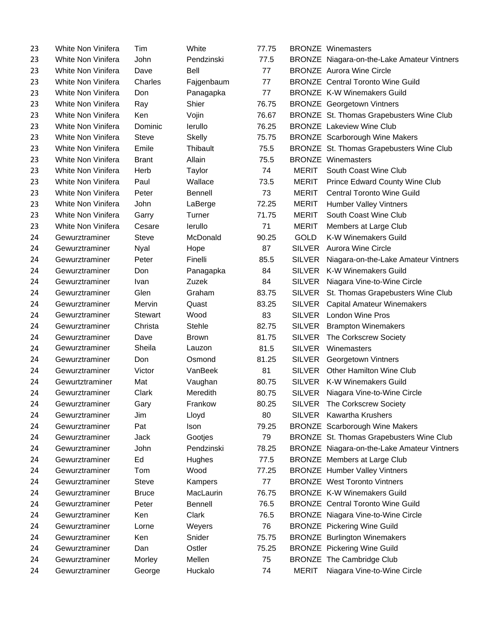| 23 | White Non Vinifera | Tim            | White         | 77.75 |               | <b>BRONZE</b> Winemasters                   |
|----|--------------------|----------------|---------------|-------|---------------|---------------------------------------------|
| 23 | White Non Vinifera | John           | Pendzinski    | 77.5  |               | BRONZE Niagara-on-the-Lake Amateur Vintners |
| 23 | White Non Vinifera | Dave           | Bell          | 77    |               | <b>BRONZE</b> Aurora Wine Circle            |
| 23 | White Non Vinifera | Charles        | Fajgenbaum    | 77    |               | <b>BRONZE</b> Central Toronto Wine Guild    |
| 23 | White Non Vinifera | Don            | Panagapka     | 77    |               | <b>BRONZE K-W Winemakers Guild</b>          |
| 23 | White Non Vinifera | Ray            | Shier         | 76.75 |               | <b>BRONZE</b> Georgetown Vintners           |
| 23 | White Non Vinifera | Ken            | Vojin         | 76.67 |               | BRONZE St. Thomas Grapebusters Wine Club    |
| 23 | White Non Vinifera | Dominic        | lerullo       | 76.25 |               | <b>BRONZE</b> Lakeview Wine Club            |
| 23 | White Non Vinifera | <b>Steve</b>   | Skelly        | 75.75 |               | <b>BRONZE</b> Scarborough Wine Makers       |
| 23 | White Non Vinifera | Emile          | Thibault      | 75.5  |               | BRONZE St. Thomas Grapebusters Wine Club    |
| 23 | White Non Vinifera | <b>Brant</b>   | Allain        | 75.5  |               | <b>BRONZE</b> Winemasters                   |
| 23 | White Non Vinifera | Herb           | Taylor        | 74    | <b>MERIT</b>  | South Coast Wine Club                       |
| 23 | White Non Vinifera | Paul           | Wallace       | 73.5  | <b>MERIT</b>  | Prince Edward County Wine Club              |
| 23 | White Non Vinifera | Peter          | Bennell       | 73    | <b>MERIT</b>  | <b>Central Toronto Wine Guild</b>           |
| 23 | White Non Vinifera | John           | LaBerge       | 72.25 | <b>MERIT</b>  | <b>Humber Valley Vintners</b>               |
| 23 | White Non Vinifera | Garry          | Turner        | 71.75 | <b>MERIT</b>  | South Coast Wine Club                       |
| 23 | White Non Vinifera | Cesare         | lerullo       | 71    | <b>MERIT</b>  | Members at Large Club                       |
| 24 | Gewurztraminer     | <b>Steve</b>   | McDonald      | 90.25 | GOLD          | <b>K-W Winemakers Guild</b>                 |
| 24 | Gewurztraminer     | Nyal           | Hope          | 87    | <b>SILVER</b> | <b>Aurora Wine Circle</b>                   |
| 24 | Gewurztraminer     | Peter          | Finelli       | 85.5  | <b>SILVER</b> | Niagara-on-the-Lake Amateur Vintners        |
| 24 | Gewurztraminer     | Don            | Panagapka     | 84    | <b>SILVER</b> | K-W Winemakers Guild                        |
| 24 | Gewurztraminer     | Ivan           | Zuzek         | 84    | <b>SILVER</b> | Niagara Vine-to-Wine Circle                 |
| 24 | Gewurztraminer     | Glen           | Graham        | 83.75 | <b>SILVER</b> | St. Thomas Grapebusters Wine Club           |
| 24 | Gewurztraminer     | Mervin         | Quast         | 83.25 | <b>SILVER</b> | <b>Capital Amateur Winemakers</b>           |
| 24 | Gewurztraminer     | <b>Stewart</b> | Wood          | 83    | <b>SILVER</b> | <b>London Wine Pros</b>                     |
| 24 | Gewurztraminer     | Christa        | <b>Stehle</b> | 82.75 | <b>SILVER</b> | <b>Brampton Winemakers</b>                  |
| 24 | Gewurztraminer     | Dave           | <b>Brown</b>  | 81.75 | <b>SILVER</b> | The Corkscrew Society                       |
| 24 | Gewurztraminer     | Sheila         | Lauzon        | 81.5  | <b>SILVER</b> | Winemasters                                 |
| 24 | Gewurztraminer     | Don            | Osmond        | 81.25 | <b>SILVER</b> | Georgetown Vintners                         |
| 24 | Gewurztraminer     | Victor         | VanBeek       | 81    | <b>SILVER</b> | <b>Other Hamilton Wine Club</b>             |
| 24 | Gewurtztraminer    | Mat            | Vaughan       | 80.75 | <b>SILVER</b> | <b>K-W Winemakers Guild</b>                 |
| 24 | Gewurztraminer     | Clark          | Meredith      | 80.75 | SILVER        | Niagara Vine-to-Wine Circle                 |
| 24 | Gewurztraminer     | Gary           | Frankow       | 80.25 | <b>SILVER</b> | The Corkscrew Society                       |
| 24 | Gewurztraminer     | Jim            | Lloyd         | 80    | <b>SILVER</b> | <b>Kawartha Krushers</b>                    |
| 24 | Gewurztraminer     | Pat            | Ison          | 79.25 |               | <b>BRONZE</b> Scarborough Wine Makers       |
| 24 | Gewurztraminer     | Jack           | Gootjes       | 79    |               | BRONZE St. Thomas Grapebusters Wine Club    |
| 24 | Gewurztraminer     | John           | Pendzinski    | 78.25 |               | BRONZE Niagara-on-the-Lake Amateur Vintners |
| 24 | Gewurztraminer     | Ed             | Hughes        | 77.5  |               | <b>BRONZE</b> Members at Large Club         |
| 24 | Gewurztraminer     | Tom            | Wood          | 77.25 |               | <b>BRONZE</b> Humber Valley Vintners        |
| 24 | Gewurztraminer     | <b>Steve</b>   | Kampers       | 77    |               | <b>BRONZE</b> West Toronto Vintners         |
| 24 | Gewurztraminer     | <b>Bruce</b>   | MacLaurin     | 76.75 |               | <b>BRONZE K-W Winemakers Guild</b>          |
| 24 | Gewurztraminer     | Peter          | Bennell       | 76.5  |               | <b>BRONZE</b> Central Toronto Wine Guild    |
| 24 | Gewurztraminer     | Ken            | Clark         | 76.5  |               | <b>BRONZE</b> Niagara Vine-to-Wine Circle   |
| 24 | Gewurztraminer     | Lorne          | Weyers        | 76    |               | <b>BRONZE</b> Pickering Wine Guild          |
| 24 | Gewurztraminer     | Ken            | Snider        | 75.75 |               | <b>BRONZE</b> Burlington Winemakers         |
| 24 | Gewurztraminer     | Dan            | Ostler        | 75.25 |               | <b>BRONZE</b> Pickering Wine Guild          |
| 24 | Gewurztraminer     | Morley         | Mellen        | 75    |               | <b>BRONZE</b> The Cambridge Club            |
| 24 | Gewurztraminer     | George         | Huckalo       | 74    | <b>MERIT</b>  | Niagara Vine-to-Wine Circle                 |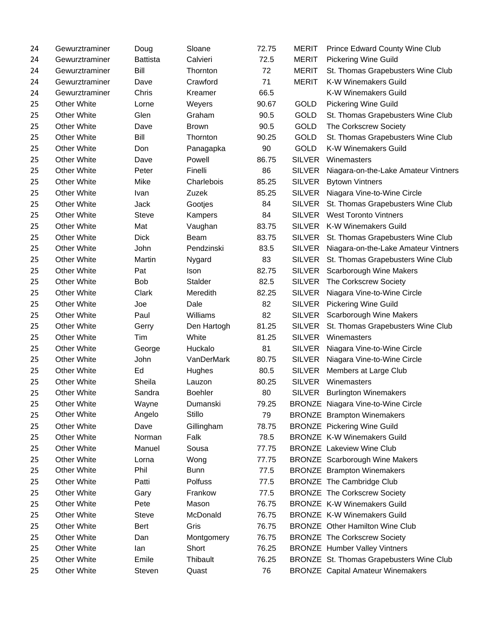| 24 | Gewurztraminer     | Doug            | Sloane         | 72.75 | <b>MERIT</b>  | Prince Edward County Wine Club            |
|----|--------------------|-----------------|----------------|-------|---------------|-------------------------------------------|
| 24 | Gewurztraminer     | <b>Battista</b> | Calvieri       | 72.5  | <b>MERIT</b>  | <b>Pickering Wine Guild</b>               |
| 24 | Gewurztraminer     | Bill            | Thornton       | 72    | <b>MERIT</b>  | St. Thomas Grapebusters Wine Club         |
| 24 | Gewurztraminer     | Dave            | Crawford       | 71    | <b>MERIT</b>  | <b>K-W Winemakers Guild</b>               |
| 24 | Gewurztraminer     | Chris           | Kreamer        | 66.5  |               | <b>K-W Winemakers Guild</b>               |
| 25 | <b>Other White</b> | Lorne           | Weyers         | 90.67 | <b>GOLD</b>   | <b>Pickering Wine Guild</b>               |
| 25 | <b>Other White</b> | Glen            | Graham         | 90.5  | <b>GOLD</b>   | St. Thomas Grapebusters Wine Club         |
| 25 | <b>Other White</b> | Dave            | <b>Brown</b>   | 90.5  | GOLD          | The Corkscrew Society                     |
| 25 | <b>Other White</b> | Bill            | Thornton       | 90.25 | GOLD          | St. Thomas Grapebusters Wine Club         |
| 25 | <b>Other White</b> | Don             | Panagapka      | 90    | <b>GOLD</b>   | <b>K-W Winemakers Guild</b>               |
| 25 | <b>Other White</b> | Dave            | Powell         | 86.75 | <b>SILVER</b> | Winemasters                               |
| 25 | <b>Other White</b> | Peter           | Finelli        | 86    | <b>SILVER</b> | Niagara-on-the-Lake Amateur Vintners      |
| 25 | <b>Other White</b> | Mike            | Charlebois     | 85.25 | <b>SILVER</b> | <b>Bytown Vintners</b>                    |
| 25 | <b>Other White</b> | Ivan            | Zuzek          | 85.25 | <b>SILVER</b> | Niagara Vine-to-Wine Circle               |
| 25 | <b>Other White</b> | Jack            | Gootjes        | 84    | <b>SILVER</b> | St. Thomas Grapebusters Wine Club         |
| 25 | <b>Other White</b> | <b>Steve</b>    | Kampers        | 84    | <b>SILVER</b> | <b>West Toronto Vintners</b>              |
| 25 | <b>Other White</b> | Mat             | Vaughan        | 83.75 | <b>SILVER</b> | <b>K-W Winemakers Guild</b>               |
| 25 | <b>Other White</b> | <b>Dick</b>     | Beam           | 83.75 | <b>SILVER</b> | St. Thomas Grapebusters Wine Club         |
| 25 | <b>Other White</b> | John            | Pendzinski     | 83.5  | <b>SILVER</b> | Niagara-on-the-Lake Amateur Vintners      |
| 25 | <b>Other White</b> | Martin          | Nygard         | 83    | <b>SILVER</b> | St. Thomas Grapebusters Wine Club         |
| 25 | <b>Other White</b> | Pat             | Ison           | 82.75 | <b>SILVER</b> | Scarborough Wine Makers                   |
| 25 | <b>Other White</b> | <b>Bob</b>      | <b>Stalder</b> | 82.5  | <b>SILVER</b> | The Corkscrew Society                     |
| 25 | <b>Other White</b> | Clark           | Meredith       | 82.25 | <b>SILVER</b> | Niagara Vine-to-Wine Circle               |
| 25 | <b>Other White</b> | Joe             | Dale           | 82    | <b>SILVER</b> | <b>Pickering Wine Guild</b>               |
| 25 | <b>Other White</b> | Paul            | Williams       | 82    | <b>SILVER</b> | Scarborough Wine Makers                   |
| 25 | <b>Other White</b> | Gerry           | Den Hartogh    | 81.25 | <b>SILVER</b> | St. Thomas Grapebusters Wine Club         |
| 25 | <b>Other White</b> | Tim             | White          | 81.25 | <b>SILVER</b> | Winemasters                               |
| 25 | <b>Other White</b> | George          | Huckalo        | 81    | <b>SILVER</b> | Niagara Vine-to-Wine Circle               |
| 25 | <b>Other White</b> | John            | VanDerMark     | 80.75 | <b>SILVER</b> | Niagara Vine-to-Wine Circle               |
| 25 | <b>Other White</b> | Ed              | Hughes         | 80.5  | <b>SILVER</b> | Members at Large Club                     |
| 25 | <b>Other White</b> | Sheila          | Lauzon         | 80.25 | <b>SILVER</b> | Winemasters                               |
| 25 | <b>Other White</b> | Sandra          | Boehler        | 80    | <b>SILVER</b> | <b>Burlington Winemakers</b>              |
| 25 | <b>Other White</b> | Wayne           | Dumanski       | 79.25 |               | <b>BRONZE</b> Niagara Vine-to-Wine Circle |
| 25 | <b>Other White</b> | Angelo          | Stillo         | 79    |               | <b>BRONZE</b> Brampton Winemakers         |
| 25 | <b>Other White</b> | Dave            | Gillingham     | 78.75 |               | <b>BRONZE</b> Pickering Wine Guild        |
| 25 | <b>Other White</b> | Norman          | Falk           | 78.5  |               | <b>BRONZE K-W Winemakers Guild</b>        |
| 25 | Other White        | Manuel          | Sousa          | 77.75 |               | <b>BRONZE</b> Lakeview Wine Club          |
| 25 | <b>Other White</b> | Lorna           | Wong           | 77.75 |               | <b>BRONZE</b> Scarborough Wine Makers     |
| 25 | <b>Other White</b> | Phil            | <b>Bunn</b>    | 77.5  |               | <b>BRONZE</b> Brampton Winemakers         |
| 25 | <b>Other White</b> | Patti           | Polfuss        | 77.5  |               | <b>BRONZE</b> The Cambridge Club          |
| 25 | <b>Other White</b> | Gary            | Frankow        | 77.5  |               | <b>BRONZE</b> The Corkscrew Society       |
| 25 | Other White        | Pete            | Mason          | 76.75 |               | <b>BRONZE K-W Winemakers Guild</b>        |
| 25 | <b>Other White</b> | <b>Steve</b>    | McDonald       | 76.75 |               | <b>BRONZE K-W Winemakers Guild</b>        |
| 25 | <b>Other White</b> | Bert            | Gris           | 76.75 |               | <b>BRONZE</b> Other Hamilton Wine Club    |
| 25 | <b>Other White</b> | Dan             | Montgomery     | 76.75 |               | <b>BRONZE</b> The Corkscrew Society       |
| 25 | <b>Other White</b> | lan             | Short          | 76.25 |               | <b>BRONZE</b> Humber Valley Vintners      |
| 25 | Other White        | Emile           | Thibault       | 76.25 |               | BRONZE St. Thomas Grapebusters Wine Club  |
| 25 | Other White        | Steven          | Quast          | 76    |               | <b>BRONZE</b> Capital Amateur Winemakers  |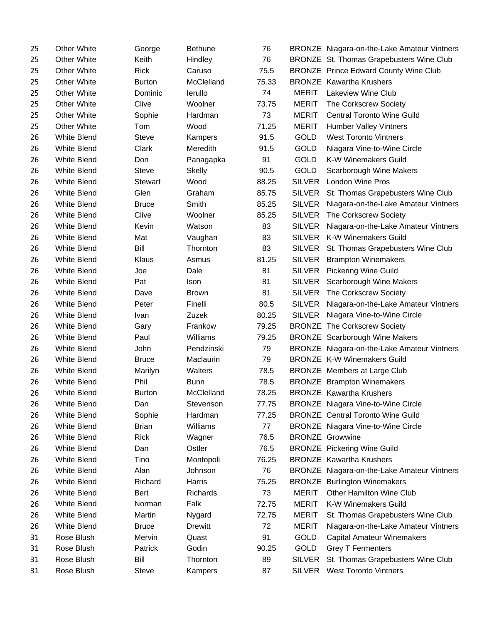| 25 | <b>Other White</b> | George        | <b>Bethune</b> | 76    |               | BRONZE Niagara-on-the-Lake Amateur Vintners  |
|----|--------------------|---------------|----------------|-------|---------------|----------------------------------------------|
| 25 | <b>Other White</b> | Keith         | Hindley        | 76    |               | BRONZE St. Thomas Grapebusters Wine Club     |
| 25 | <b>Other White</b> | <b>Rick</b>   | Caruso         | 75.5  |               | <b>BRONZE</b> Prince Edward County Wine Club |
| 25 | <b>Other White</b> | <b>Burton</b> | McClelland     | 75.33 |               | <b>BRONZE</b> Kawartha Krushers              |
| 25 | <b>Other White</b> | Dominic       | lerullo        | 74    | <b>MERIT</b>  | Lakeview Wine Club                           |
| 25 | <b>Other White</b> | Clive         | Woolner        | 73.75 | <b>MERIT</b>  | The Corkscrew Society                        |
| 25 | <b>Other White</b> | Sophie        | Hardman        | 73    | <b>MERIT</b>  | <b>Central Toronto Wine Guild</b>            |
| 25 | <b>Other White</b> | Tom           | Wood           | 71.25 | <b>MERIT</b>  | <b>Humber Valley Vintners</b>                |
| 26 | <b>White Blend</b> | <b>Steve</b>  | Kampers        | 91.5  | <b>GOLD</b>   | <b>West Toronto Vintners</b>                 |
| 26 | <b>White Blend</b> | Clark         | Meredith       | 91.5  | GOLD          | Niagara Vine-to-Wine Circle                  |
| 26 | White Blend        | Don           | Panagapka      | 91    | <b>GOLD</b>   | K-W Winemakers Guild                         |
| 26 | White Blend        | <b>Steve</b>  | <b>Skelly</b>  | 90.5  | <b>GOLD</b>   | Scarborough Wine Makers                      |
| 26 | <b>White Blend</b> | Stewart       | Wood           | 88.25 | <b>SILVER</b> | <b>London Wine Pros</b>                      |
| 26 | White Blend        | Glen          | Graham         | 85.75 | SILVER        | St. Thomas Grapebusters Wine Club            |
| 26 | <b>White Blend</b> | <b>Bruce</b>  | Smith          | 85.25 | <b>SILVER</b> | Niagara-on-the-Lake Amateur Vintners         |
| 26 | <b>White Blend</b> | Clive         | Woolner        | 85.25 | <b>SILVER</b> | The Corkscrew Society                        |
| 26 | <b>White Blend</b> | Kevin         | Watson         | 83    | <b>SILVER</b> | Niagara-on-the-Lake Amateur Vintners         |
| 26 | <b>White Blend</b> | Mat           | Vaughan        | 83    | <b>SILVER</b> | <b>K-W Winemakers Guild</b>                  |
| 26 | <b>White Blend</b> | Bill          | Thornton       | 83    | <b>SILVER</b> | St. Thomas Grapebusters Wine Club            |
| 26 | White Blend        | Klaus         | Asmus          | 81.25 | <b>SILVER</b> | <b>Brampton Winemakers</b>                   |
| 26 | <b>White Blend</b> | Joe           | Dale           | 81    | <b>SILVER</b> | <b>Pickering Wine Guild</b>                  |
| 26 | <b>White Blend</b> | Pat           | <b>Ison</b>    | 81    | <b>SILVER</b> | Scarborough Wine Makers                      |
| 26 | <b>White Blend</b> | Dave          | <b>Brown</b>   | 81    | <b>SILVER</b> | The Corkscrew Society                        |
| 26 | White Blend        | Peter         | Finelli        | 80.5  | <b>SILVER</b> | Niagara-on-the-Lake Amateur Vintners         |
| 26 | White Blend        | Ivan          | Zuzek          | 80.25 | <b>SILVER</b> | Niagara Vine-to-Wine Circle                  |
| 26 | <b>White Blend</b> | Gary          | Frankow        | 79.25 |               | <b>BRONZE</b> The Corkscrew Society          |
| 26 | <b>White Blend</b> | Paul          | Williams       | 79.25 |               | <b>BRONZE</b> Scarborough Wine Makers        |
| 26 | <b>White Blend</b> | John          | Pendzinski     | 79    |               | BRONZE Niagara-on-the-Lake Amateur Vintners  |
| 26 | White Blend        | <b>Bruce</b>  | Maclaurin      | 79    |               | <b>BRONZE K-W Winemakers Guild</b>           |
| 26 | <b>White Blend</b> | Marilyn       | Walters        | 78.5  |               | <b>BRONZE</b> Members at Large Club          |
| 26 | <b>White Blend</b> | Phil          | <b>Bunn</b>    | 78.5  |               | <b>BRONZE</b> Brampton Winemakers            |
| 26 | <b>White Blend</b> | <b>Burton</b> | McClelland     | 78.25 |               | <b>BRONZE</b> Kawartha Krushers              |
| 26 | <b>White Blend</b> | Dan           | Stevenson      | 77.75 |               | <b>BRONZE</b> Niagara Vine-to-Wine Circle    |
| 26 | White Blend        | Sophie        | Hardman        | 77.25 |               | <b>BRONZE</b> Central Toronto Wine Guild     |
| 26 | <b>White Blend</b> | <b>Brian</b>  | Williams       | 77    |               | BRONZE Niagara Vine-to-Wine Circle           |
| 26 | <b>White Blend</b> | <b>Rick</b>   | Wagner         | 76.5  |               | <b>BRONZE</b> Growwine                       |
| 26 | White Blend        | Dan           | Ostler         | 76.5  |               | <b>BRONZE</b> Pickering Wine Guild           |
| 26 | White Blend        | Tino          | Montopoli      | 76.25 |               | <b>BRONZE</b> Kawartha Krushers              |
| 26 | <b>White Blend</b> | Alan          | Johnson        | 76    |               | BRONZE Niagara-on-the-Lake Amateur Vintners  |
| 26 | <b>White Blend</b> | Richard       | Harris         | 75.25 |               | <b>BRONZE</b> Burlington Winemakers          |
| 26 | <b>White Blend</b> | <b>Bert</b>   | Richards       | 73    | <b>MERIT</b>  | Other Hamilton Wine Club                     |
| 26 | <b>White Blend</b> | Norman        | Falk           | 72.75 | <b>MERIT</b>  | K-W Winemakers Guild                         |
| 26 | <b>White Blend</b> | Martin        | Nygard         | 72.75 | <b>MERIT</b>  | St. Thomas Grapebusters Wine Club            |
| 26 | White Blend        | <b>Bruce</b>  | <b>Drewitt</b> | 72    | <b>MERIT</b>  | Niagara-on-the-Lake Amateur Vintners         |
| 31 | Rose Blush         | Mervin        | Quast          | 91    | GOLD          | <b>Capital Amateur Winemakers</b>            |
| 31 | Rose Blush         | Patrick       | Godin          | 90.25 | GOLD          | <b>Grey T Fermenters</b>                     |
| 31 | Rose Blush         | Bill          | Thornton       | 89    | <b>SILVER</b> | St. Thomas Grapebusters Wine Club            |
| 31 | Rose Blush         | Steve         | Kampers        | 87    | <b>SILVER</b> | <b>West Toronto Vintners</b>                 |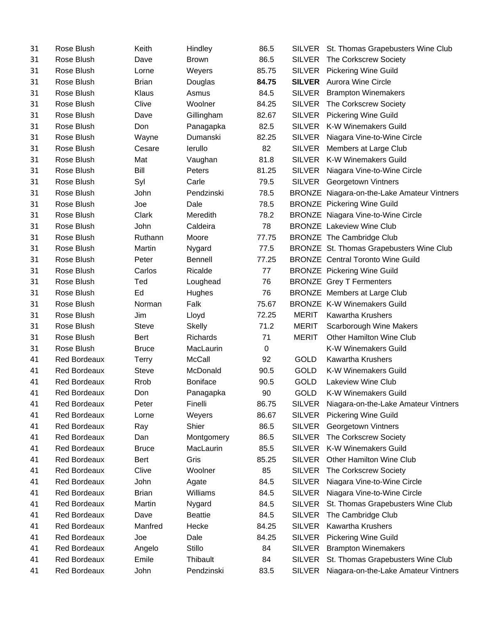| 31 | Rose Blush          | Keith        | Hindley         | 86.5      | SILVER        | St. Thomas Grapebusters Wine Club           |
|----|---------------------|--------------|-----------------|-----------|---------------|---------------------------------------------|
| 31 | Rose Blush          | Dave         | <b>Brown</b>    | 86.5      | <b>SILVER</b> | The Corkscrew Society                       |
| 31 | Rose Blush          | Lorne        | Weyers          | 85.75     | <b>SILVER</b> | <b>Pickering Wine Guild</b>                 |
| 31 | Rose Blush          | <b>Brian</b> | Douglas         | 84.75     | <b>SILVER</b> | <b>Aurora Wine Circle</b>                   |
| 31 | Rose Blush          | Klaus        | Asmus           | 84.5      | <b>SILVER</b> | <b>Brampton Winemakers</b>                  |
| 31 | Rose Blush          | Clive        | Woolner         | 84.25     | <b>SILVER</b> | The Corkscrew Society                       |
| 31 | Rose Blush          | Dave         | Gillingham      | 82.67     | <b>SILVER</b> | <b>Pickering Wine Guild</b>                 |
| 31 | Rose Blush          | Don          | Panagapka       | 82.5      | <b>SILVER</b> | <b>K-W Winemakers Guild</b>                 |
| 31 | Rose Blush          | Wayne        | Dumanski        | 82.25     | <b>SILVER</b> | Niagara Vine-to-Wine Circle                 |
| 31 | Rose Blush          | Cesare       | lerullo         | 82        | <b>SILVER</b> | Members at Large Club                       |
| 31 | Rose Blush          | Mat          | Vaughan         | 81.8      | <b>SILVER</b> | K-W Winemakers Guild                        |
| 31 | Rose Blush          | Bill         | Peters          | 81.25     | <b>SILVER</b> | Niagara Vine-to-Wine Circle                 |
| 31 | Rose Blush          | Syl          | Carle           | 79.5      | SILVER        | Georgetown Vintners                         |
| 31 | Rose Blush          | John         | Pendzinski      | 78.5      |               | BRONZE Niagara-on-the-Lake Amateur Vintners |
| 31 | Rose Blush          | Joe          | Dale            | 78.5      |               | <b>BRONZE</b> Pickering Wine Guild          |
| 31 | Rose Blush          | Clark        | Meredith        | 78.2      |               | <b>BRONZE</b> Niagara Vine-to-Wine Circle   |
| 31 | Rose Blush          | John         | Caldeira        | 78        |               | <b>BRONZE</b> Lakeview Wine Club            |
| 31 | Rose Blush          | Ruthann      | Moore           | 77.75     |               | <b>BRONZE</b> The Cambridge Club            |
| 31 | Rose Blush          | Martin       | Nygard          | 77.5      |               | BRONZE St. Thomas Grapebusters Wine Club    |
| 31 | Rose Blush          | Peter        | <b>Bennell</b>  | 77.25     |               | <b>BRONZE</b> Central Toronto Wine Guild    |
| 31 | Rose Blush          | Carlos       | Ricalde         | 77        |               | <b>BRONZE</b> Pickering Wine Guild          |
| 31 | Rose Blush          | Ted          | Loughead        | 76        |               | <b>BRONZE</b> Grey T Fermenters             |
| 31 | Rose Blush          | Ed           | Hughes          | 76        |               | <b>BRONZE</b> Members at Large Club         |
| 31 | Rose Blush          | Norman       | Falk            | 75.67     |               | <b>BRONZE K-W Winemakers Guild</b>          |
| 31 | Rose Blush          | Jim          | Lloyd           | 72.25     | <b>MERIT</b>  | <b>Kawartha Krushers</b>                    |
| 31 | Rose Blush          | <b>Steve</b> | Skelly          | 71.2      | <b>MERIT</b>  | Scarborough Wine Makers                     |
| 31 | Rose Blush          | <b>Bert</b>  | Richards        | 71        | <b>MERIT</b>  | Other Hamilton Wine Club                    |
| 31 | Rose Blush          | <b>Bruce</b> | MacLaurin       | $\pmb{0}$ |               | <b>K-W Winemakers Guild</b>                 |
| 41 | <b>Red Bordeaux</b> | Terry        | <b>McCall</b>   | 92        | GOLD          | <b>Kawartha Krushers</b>                    |
| 41 | <b>Red Bordeaux</b> | <b>Steve</b> | McDonald        | 90.5      | GOLD          | K-W Winemakers Guild                        |
| 41 | <b>Red Bordeaux</b> | <b>Rrob</b>  | <b>Boniface</b> | 90.5      | <b>GOLD</b>   | Lakeview Wine Club                          |
| 41 | <b>Red Bordeaux</b> | Don          | Panagapka       | 90        | GOLD          | K-W Winemakers Guild                        |
| 41 | <b>Red Bordeaux</b> | Peter        | Finelli         | 86.75     | <b>SILVER</b> | Niagara-on-the-Lake Amateur Vintners        |
| 41 | <b>Red Bordeaux</b> | Lorne        | Weyers          | 86.67     | <b>SILVER</b> | <b>Pickering Wine Guild</b>                 |
| 41 | <b>Red Bordeaux</b> | Ray          | Shier           | 86.5      | <b>SILVER</b> | Georgetown Vintners                         |
| 41 | <b>Red Bordeaux</b> | Dan          | Montgomery      | 86.5      | <b>SILVER</b> | The Corkscrew Society                       |
| 41 | <b>Red Bordeaux</b> | <b>Bruce</b> | MacLaurin       | 85.5      | <b>SILVER</b> | K-W Winemakers Guild                        |
| 41 | <b>Red Bordeaux</b> | Bert         | Gris            | 85.25     | <b>SILVER</b> | <b>Other Hamilton Wine Club</b>             |
| 41 | <b>Red Bordeaux</b> | Clive        | Woolner         | 85        | <b>SILVER</b> | The Corkscrew Society                       |
| 41 | <b>Red Bordeaux</b> | John         | Agate           | 84.5      | <b>SILVER</b> | Niagara Vine-to-Wine Circle                 |
| 41 | Red Bordeaux        | <b>Brian</b> | Williams        | 84.5      | <b>SILVER</b> | Niagara Vine-to-Wine Circle                 |
| 41 | <b>Red Bordeaux</b> | Martin       | Nygard          | 84.5      | <b>SILVER</b> | St. Thomas Grapebusters Wine Club           |
| 41 | <b>Red Bordeaux</b> | Dave         | <b>Beattie</b>  | 84.5      | <b>SILVER</b> | The Cambridge Club                          |
| 41 | <b>Red Bordeaux</b> | Manfred      | Hecke           | 84.25     | <b>SILVER</b> | <b>Kawartha Krushers</b>                    |
| 41 | <b>Red Bordeaux</b> | Joe          | Dale            | 84.25     | <b>SILVER</b> | <b>Pickering Wine Guild</b>                 |
| 41 | <b>Red Bordeaux</b> | Angelo       | Stillo          | 84        | <b>SILVER</b> | <b>Brampton Winemakers</b>                  |
| 41 | <b>Red Bordeaux</b> | Emile        | Thibault        | 84        | <b>SILVER</b> | St. Thomas Grapebusters Wine Club           |
| 41 | Red Bordeaux        | John         | Pendzinski      | 83.5      | <b>SILVER</b> | Niagara-on-the-Lake Amateur Vintners        |
|    |                     |              |                 |           |               |                                             |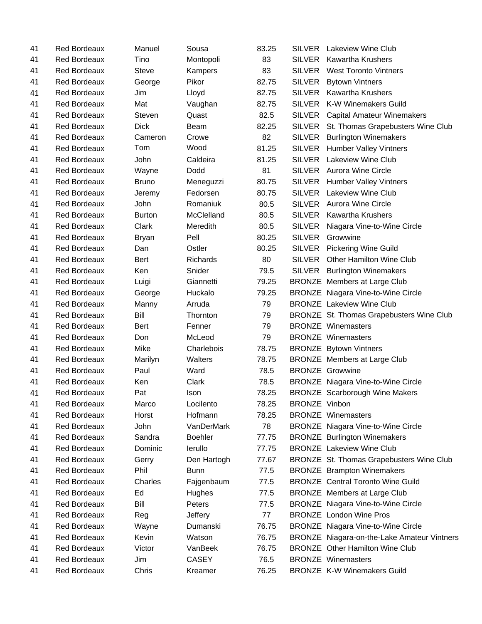| 41 | <b>Red Bordeaux</b> | Manuel        | Sousa           | 83.25 | <b>SILVER</b> | Lakeview Wine Club                          |
|----|---------------------|---------------|-----------------|-------|---------------|---------------------------------------------|
| 41 | <b>Red Bordeaux</b> | Tino          | Montopoli       | 83    | <b>SILVER</b> | <b>Kawartha Krushers</b>                    |
| 41 | <b>Red Bordeaux</b> | <b>Steve</b>  | Kampers         | 83    | <b>SILVER</b> | <b>West Toronto Vintners</b>                |
| 41 | <b>Red Bordeaux</b> | George        | Pikor           | 82.75 | <b>SILVER</b> | <b>Bytown Vintners</b>                      |
| 41 | <b>Red Bordeaux</b> | Jim           | Lloyd           | 82.75 | <b>SILVER</b> | <b>Kawartha Krushers</b>                    |
| 41 | Red Bordeaux        | Mat           | Vaughan         | 82.75 | <b>SILVER</b> | <b>K-W Winemakers Guild</b>                 |
| 41 | <b>Red Bordeaux</b> | Steven        | Quast           | 82.5  | <b>SILVER</b> | <b>Capital Amateur Winemakers</b>           |
| 41 | <b>Red Bordeaux</b> | <b>Dick</b>   | Beam            | 82.25 | SILVER        | St. Thomas Grapebusters Wine Club           |
| 41 | <b>Red Bordeaux</b> | Cameron       | Crowe           | 82    | <b>SILVER</b> | <b>Burlington Winemakers</b>                |
| 41 | <b>Red Bordeaux</b> | Tom           | Wood            | 81.25 | <b>SILVER</b> | <b>Humber Valley Vintners</b>               |
| 41 | <b>Red Bordeaux</b> | John          | Caldeira        | 81.25 | <b>SILVER</b> | <b>Lakeview Wine Club</b>                   |
| 41 | <b>Red Bordeaux</b> | Wayne         | Dodd            | 81    |               | SILVER Aurora Wine Circle                   |
| 41 | <b>Red Bordeaux</b> | <b>Bruno</b>  | Meneguzzi       | 80.75 | <b>SILVER</b> | <b>Humber Valley Vintners</b>               |
| 41 | <b>Red Bordeaux</b> | Jeremy        | Fedorsen        | 80.75 |               | SILVER Lakeview Wine Club                   |
| 41 | <b>Red Bordeaux</b> | John          | Romaniuk        | 80.5  | <b>SILVER</b> | <b>Aurora Wine Circle</b>                   |
| 41 | Red Bordeaux        | <b>Burton</b> | McClelland      | 80.5  | <b>SILVER</b> | <b>Kawartha Krushers</b>                    |
| 41 | <b>Red Bordeaux</b> | Clark         | Meredith        | 80.5  | <b>SILVER</b> | Niagara Vine-to-Wine Circle                 |
| 41 | <b>Red Bordeaux</b> | <b>Bryan</b>  | Pell            | 80.25 | <b>SILVER</b> | Growwine                                    |
| 41 | <b>Red Bordeaux</b> | Dan           | Ostler          | 80.25 | <b>SILVER</b> | <b>Pickering Wine Guild</b>                 |
| 41 | <b>Red Bordeaux</b> | <b>Bert</b>   | <b>Richards</b> | 80    | <b>SILVER</b> | Other Hamilton Wine Club                    |
| 41 | <b>Red Bordeaux</b> | Ken           | Snider          | 79.5  | <b>SILVER</b> | <b>Burlington Winemakers</b>                |
| 41 | <b>Red Bordeaux</b> | Luigi         | Giannetti       | 79.25 |               | <b>BRONZE</b> Members at Large Club         |
| 41 | <b>Red Bordeaux</b> | George        | Huckalo         | 79.25 |               | <b>BRONZE</b> Niagara Vine-to-Wine Circle   |
| 41 | <b>Red Bordeaux</b> | Manny         | Arruda          | 79    |               | <b>BRONZE</b> Lakeview Wine Club            |
| 41 | <b>Red Bordeaux</b> | Bill          | Thornton        | 79    |               | BRONZE St. Thomas Grapebusters Wine Club    |
| 41 | <b>Red Bordeaux</b> | Bert          | Fenner          | 79    |               | <b>BRONZE</b> Winemasters                   |
| 41 | <b>Red Bordeaux</b> | Don           | McLeod          | 79    |               | <b>BRONZE Winemasters</b>                   |
| 41 | <b>Red Bordeaux</b> | Mike          | Charlebois      | 78.75 |               | <b>BRONZE</b> Bytown Vintners               |
| 41 | <b>Red Bordeaux</b> | Marilyn       | Walters         | 78.75 |               | <b>BRONZE</b> Members at Large Club         |
| 41 | <b>Red Bordeaux</b> | Paul          | Ward            | 78.5  |               | <b>BRONZE</b> Growwine                      |
| 41 | <b>Red Bordeaux</b> | Ken           | Clark           | 78.5  |               | <b>BRONZE</b> Niagara Vine-to-Wine Circle   |
| 41 | <b>Red Bordeaux</b> | Pat           | Ison            | 78.25 |               | <b>BRONZE</b> Scarborough Wine Makers       |
| 41 | <b>Red Bordeaux</b> | Marco         | Locilento       | 78.25 | BRONZE Vinbon |                                             |
| 41 | <b>Red Bordeaux</b> | Horst         | Hofmann         | 78.25 |               | <b>BRONZE</b> Winemasters                   |
| 41 | <b>Red Bordeaux</b> | John          | VanDerMark      | 78    |               | <b>BRONZE</b> Niagara Vine-to-Wine Circle   |
| 41 | <b>Red Bordeaux</b> | Sandra        | <b>Boehler</b>  | 77.75 |               | <b>BRONZE</b> Burlington Winemakers         |
| 41 | <b>Red Bordeaux</b> | Dominic       | lerullo         | 77.75 |               | <b>BRONZE</b> Lakeview Wine Club            |
| 41 | <b>Red Bordeaux</b> | Gerry         | Den Hartogh     | 77.67 |               | BRONZE St. Thomas Grapebusters Wine Club    |
| 41 | <b>Red Bordeaux</b> | Phil          | <b>Bunn</b>     | 77.5  |               | <b>BRONZE</b> Brampton Winemakers           |
| 41 | <b>Red Bordeaux</b> | Charles       | Fajgenbaum      | 77.5  |               | <b>BRONZE</b> Central Toronto Wine Guild    |
| 41 | <b>Red Bordeaux</b> | Ed            | Hughes          | 77.5  |               | <b>BRONZE</b> Members at Large Club         |
| 41 | <b>Red Bordeaux</b> | Bill          | Peters          | 77.5  |               | BRONZE Niagara Vine-to-Wine Circle          |
| 41 | <b>Red Bordeaux</b> | Reg           | Jeffery         | 77    |               | <b>BRONZE</b> London Wine Pros              |
| 41 | <b>Red Bordeaux</b> | Wayne         | Dumanski        | 76.75 |               | BRONZE Niagara Vine-to-Wine Circle          |
| 41 | <b>Red Bordeaux</b> | Kevin         | Watson          | 76.75 |               | BRONZE Niagara-on-the-Lake Amateur Vintners |
| 41 | <b>Red Bordeaux</b> | Victor        | VanBeek         | 76.75 |               | <b>BRONZE</b> Other Hamilton Wine Club      |
| 41 | <b>Red Bordeaux</b> | Jim           | <b>CASEY</b>    | 76.5  |               | <b>BRONZE Winemasters</b>                   |
| 41 | <b>Red Bordeaux</b> | Chris         | Kreamer         | 76.25 |               | <b>BRONZE K-W Winemakers Guild</b>          |
|    |                     |               |                 |       |               |                                             |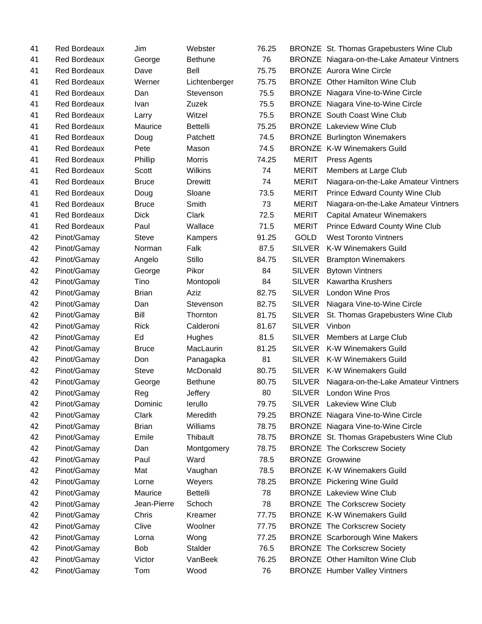| 41 | <b>Red Bordeaux</b> | Jim          | Webster         | 76.25 |               | BRONZE St. Thomas Grapebusters Wine Club    |
|----|---------------------|--------------|-----------------|-------|---------------|---------------------------------------------|
| 41 | <b>Red Bordeaux</b> | George       | <b>Bethune</b>  | 76    |               | BRONZE Niagara-on-the-Lake Amateur Vintners |
| 41 | Red Bordeaux        | Dave         | Bell            | 75.75 |               | <b>BRONZE</b> Aurora Wine Circle            |
| 41 | <b>Red Bordeaux</b> | Werner       | Lichtenberger   | 75.75 |               | <b>BRONZE</b> Other Hamilton Wine Club      |
| 41 | <b>Red Bordeaux</b> | Dan          | Stevenson       | 75.5  |               | <b>BRONZE</b> Niagara Vine-to-Wine Circle   |
| 41 | <b>Red Bordeaux</b> | Ivan         | Zuzek           | 75.5  |               | <b>BRONZE</b> Niagara Vine-to-Wine Circle   |
| 41 | <b>Red Bordeaux</b> | Larry        | Witzel          | 75.5  |               | <b>BRONZE</b> South Coast Wine Club         |
| 41 | <b>Red Bordeaux</b> | Maurice      | <b>Bettelli</b> | 75.25 |               | <b>BRONZE</b> Lakeview Wine Club            |
| 41 | <b>Red Bordeaux</b> | Doug         | Patchett        | 74.5  |               | <b>BRONZE</b> Burlington Winemakers         |
| 41 | Red Bordeaux        | Pete         | Mason           | 74.5  |               | <b>BRONZE K-W Winemakers Guild</b>          |
| 41 | <b>Red Bordeaux</b> | Phillip      | <b>Morris</b>   | 74.25 | <b>MERIT</b>  | Press Agents                                |
| 41 | <b>Red Bordeaux</b> | Scott        | Wilkins         | 74    | <b>MERIT</b>  | Members at Large Club                       |
| 41 | Red Bordeaux        | <b>Bruce</b> | <b>Drewitt</b>  | 74    | <b>MERIT</b>  | Niagara-on-the-Lake Amateur Vintners        |
| 41 | <b>Red Bordeaux</b> | Doug         | Sloane          | 73.5  | <b>MERIT</b>  | Prince Edward County Wine Club              |
| 41 | Red Bordeaux        | <b>Bruce</b> | Smith           | 73    | <b>MERIT</b>  | Niagara-on-the-Lake Amateur Vintners        |
| 41 | <b>Red Bordeaux</b> | <b>Dick</b>  | Clark           | 72.5  | <b>MERIT</b>  | Capital Amateur Winemakers                  |
| 41 | <b>Red Bordeaux</b> | Paul         | Wallace         | 71.5  | <b>MERIT</b>  | <b>Prince Edward County Wine Club</b>       |
| 42 | Pinot/Gamay         | <b>Steve</b> | Kampers         | 91.25 | <b>GOLD</b>   | <b>West Toronto Vintners</b>                |
| 42 | Pinot/Gamay         | Norman       | Falk            | 87.5  | <b>SILVER</b> | K-W Winemakers Guild                        |
| 42 | Pinot/Gamay         | Angelo       | Stillo          | 84.75 | <b>SILVER</b> | <b>Brampton Winemakers</b>                  |
| 42 | Pinot/Gamay         | George       | Pikor           | 84    | <b>SILVER</b> | <b>Bytown Vintners</b>                      |
| 42 | Pinot/Gamay         | Tino         | Montopoli       | 84    | <b>SILVER</b> | <b>Kawartha Krushers</b>                    |
| 42 | Pinot/Gamay         | <b>Brian</b> | Aziz            | 82.75 | <b>SILVER</b> | <b>London Wine Pros</b>                     |
| 42 | Pinot/Gamay         | Dan          | Stevenson       | 82.75 | <b>SILVER</b> | Niagara Vine-to-Wine Circle                 |
| 42 | Pinot/Gamay         | Bill         | Thornton        | 81.75 | <b>SILVER</b> | St. Thomas Grapebusters Wine Club           |
| 42 | Pinot/Gamay         | <b>Rick</b>  | Calderoni       | 81.67 | <b>SILVER</b> | Vinbon                                      |
| 42 | Pinot/Gamay         | Ed           | Hughes          | 81.5  | <b>SILVER</b> | Members at Large Club                       |
| 42 | Pinot/Gamay         | <b>Bruce</b> | MacLaurin       | 81.25 | <b>SILVER</b> | K-W Winemakers Guild                        |
| 42 | Pinot/Gamay         | Don          | Panagapka       | 81    | SILVER        | <b>K-W Winemakers Guild</b>                 |
| 42 | Pinot/Gamay         | <b>Steve</b> | McDonald        | 80.75 | <b>SILVER</b> | <b>K-W Winemakers Guild</b>                 |
| 42 | Pinot/Gamay         | George       | <b>Bethune</b>  | 80.75 | <b>SILVER</b> | Niagara-on-the-Lake Amateur Vintners        |
| 42 | Pinot/Gamay         | Reg          | Jeffery         | 80    | <b>SILVER</b> | <b>London Wine Pros</b>                     |
| 42 | Pinot/Gamay         | Dominic      | lerullo         | 79.75 |               | SILVER Lakeview Wine Club                   |
| 42 | Pinot/Gamay         | Clark        | Meredith        | 79.25 |               | <b>BRONZE</b> Niagara Vine-to-Wine Circle   |
| 42 | Pinot/Gamay         | <b>Brian</b> | Williams        | 78.75 |               | <b>BRONZE</b> Niagara Vine-to-Wine Circle   |
| 42 | Pinot/Gamay         | Emile        | Thibault        | 78.75 |               | BRONZE St. Thomas Grapebusters Wine Club    |
| 42 | Pinot/Gamay         | Dan          | Montgomery      | 78.75 |               | <b>BRONZE</b> The Corkscrew Society         |
| 42 | Pinot/Gamay         | Paul         | Ward            | 78.5  |               | <b>BRONZE Growwine</b>                      |
| 42 | Pinot/Gamay         | Mat          | Vaughan         | 78.5  |               | <b>BRONZE K-W Winemakers Guild</b>          |
| 42 | Pinot/Gamay         | Lorne        | Weyers          | 78.25 |               | <b>BRONZE</b> Pickering Wine Guild          |
| 42 | Pinot/Gamay         | Maurice      | <b>Bettelli</b> | 78    |               | <b>BRONZE</b> Lakeview Wine Club            |
| 42 | Pinot/Gamay         | Jean-Pierre  | Schoch          | 78    |               | <b>BRONZE The Corkscrew Society</b>         |
| 42 | Pinot/Gamay         | Chris        | Kreamer         | 77.75 |               | <b>BRONZE K-W Winemakers Guild</b>          |
| 42 | Pinot/Gamay         | Clive        | Woolner         | 77.75 |               | <b>BRONZE</b> The Corkscrew Society         |
| 42 | Pinot/Gamay         | Lorna        | Wong            | 77.25 |               | <b>BRONZE</b> Scarborough Wine Makers       |
| 42 | Pinot/Gamay         | <b>Bob</b>   | Stalder         | 76.5  |               | <b>BRONZE</b> The Corkscrew Society         |
| 42 | Pinot/Gamay         | Victor       | VanBeek         | 76.25 |               | <b>BRONZE</b> Other Hamilton Wine Club      |
| 42 | Pinot/Gamay         | Tom          | Wood            | 76    |               | <b>BRONZE</b> Humber Valley Vintners        |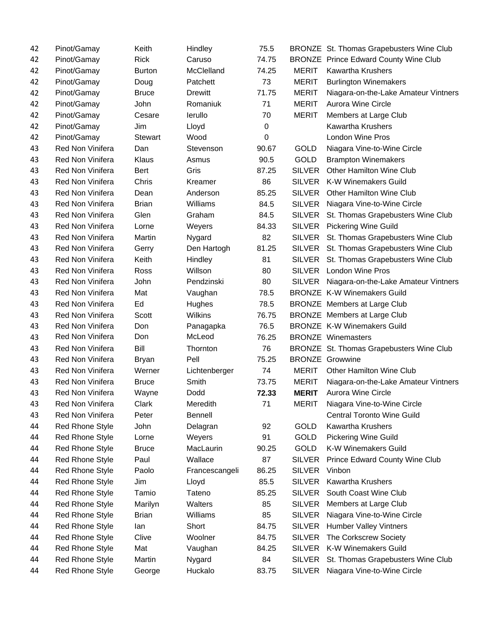| 42 | Pinot/Gamay             | Keith          | Hindley        | 75.5  |               | BRONZE St. Thomas Grapebusters Wine Club     |
|----|-------------------------|----------------|----------------|-------|---------------|----------------------------------------------|
| 42 | Pinot/Gamay             | <b>Rick</b>    | Caruso         | 74.75 |               | <b>BRONZE</b> Prince Edward County Wine Club |
| 42 | Pinot/Gamay             | <b>Burton</b>  | McClelland     | 74.25 | <b>MERIT</b>  | <b>Kawartha Krushers</b>                     |
| 42 | Pinot/Gamay             | Doug           | Patchett       | 73    | <b>MERIT</b>  | <b>Burlington Winemakers</b>                 |
| 42 | Pinot/Gamay             | <b>Bruce</b>   | <b>Drewitt</b> | 71.75 | <b>MERIT</b>  | Niagara-on-the-Lake Amateur Vintners         |
| 42 | Pinot/Gamay             | John           | Romaniuk       | 71    | <b>MERIT</b>  | <b>Aurora Wine Circle</b>                    |
| 42 | Pinot/Gamay             | Cesare         | lerullo        | 70    | <b>MERIT</b>  | Members at Large Club                        |
| 42 | Pinot/Gamay             | Jim            | Lloyd          | 0     |               | <b>Kawartha Krushers</b>                     |
| 42 | Pinot/Gamay             | <b>Stewart</b> | Wood           | 0     |               | <b>London Wine Pros</b>                      |
| 43 | <b>Red Non Vinifera</b> | Dan            | Stevenson      | 90.67 | GOLD          | Niagara Vine-to-Wine Circle                  |
| 43 | <b>Red Non Vinifera</b> | Klaus          | Asmus          | 90.5  | GOLD          | <b>Brampton Winemakers</b>                   |
| 43 | <b>Red Non Vinifera</b> | <b>Bert</b>    | Gris           | 87.25 | <b>SILVER</b> | Other Hamilton Wine Club                     |
| 43 | <b>Red Non Vinifera</b> | Chris          | Kreamer        | 86    | SILVER        | <b>K-W Winemakers Guild</b>                  |
| 43 | <b>Red Non Vinifera</b> | Dean           | Anderson       | 85.25 | <b>SILVER</b> | <b>Other Hamilton Wine Club</b>              |
| 43 | <b>Red Non Vinifera</b> | <b>Brian</b>   | Williams       | 84.5  | <b>SILVER</b> | Niagara Vine-to-Wine Circle                  |
| 43 | Red Non Vinifera        | Glen           | Graham         | 84.5  | <b>SILVER</b> | St. Thomas Grapebusters Wine Club            |
| 43 | <b>Red Non Vinifera</b> | Lorne          | Weyers         | 84.33 |               | SILVER Pickering Wine Guild                  |
| 43 | Red Non Vinifera        | Martin         | Nygard         | 82    | <b>SILVER</b> | St. Thomas Grapebusters Wine Club            |
| 43 | <b>Red Non Vinifera</b> | Gerry          | Den Hartogh    | 81.25 | <b>SILVER</b> | St. Thomas Grapebusters Wine Club            |
| 43 | <b>Red Non Vinifera</b> | Keith          | Hindley        | 81    | SILVER        | St. Thomas Grapebusters Wine Club            |
| 43 | Red Non Vinifera        | Ross           | Willson        | 80    | <b>SILVER</b> | <b>London Wine Pros</b>                      |
| 43 | <b>Red Non Vinifera</b> | John           | Pendzinski     | 80    | <b>SILVER</b> | Niagara-on-the-Lake Amateur Vintners         |
| 43 | <b>Red Non Vinifera</b> | Mat            | Vaughan        | 78.5  |               | <b>BRONZE K-W Winemakers Guild</b>           |
| 43 | <b>Red Non Vinifera</b> | Ed             | Hughes         | 78.5  |               | <b>BRONZE</b> Members at Large Club          |
| 43 | <b>Red Non Vinifera</b> | Scott          | Wilkins        | 76.75 |               | BRONZE Members at Large Club                 |
| 43 | Red Non Vinifera        | Don            | Panagapka      | 76.5  |               | <b>BRONZE K-W Winemakers Guild</b>           |
| 43 | Red Non Vinifera        | Don            | McLeod         | 76.25 |               | <b>BRONZE</b> Winemasters                    |
| 43 | Red Non Vinifera        | Bill           | Thornton       | 76    |               | BRONZE St. Thomas Grapebusters Wine Club     |
| 43 | Red Non Vinifera        | <b>Bryan</b>   | Pell           | 75.25 |               | <b>BRONZE</b> Growwine                       |
| 43 | <b>Red Non Vinifera</b> | Werner         | Lichtenberger  | 74    | <b>MERIT</b>  | <b>Other Hamilton Wine Club</b>              |
| 43 | Red Non Vinifera        | <b>Bruce</b>   | Smith          | 73.75 | <b>MERIT</b>  | Niagara-on-the-Lake Amateur Vintners         |
| 43 | Red Non Vinifera        | Wayne          | Dodd           | 72.33 | <b>MERIT</b>  | <b>Aurora Wine Circle</b>                    |
| 43 | Red Non Vinifera        | Clark          | Meredith       | 71    | <b>MERIT</b>  | Niagara Vine-to-Wine Circle                  |
| 43 | Red Non Vinifera        | Peter          | Bennell        |       |               | <b>Central Toronto Wine Guild</b>            |
| 44 | <b>Red Rhone Style</b>  | John           | Delagran       | 92    | GOLD          | <b>Kawartha Krushers</b>                     |
| 44 | <b>Red Rhone Style</b>  | Lorne          | Weyers         | 91    | GOLD          | Pickering Wine Guild                         |
| 44 | Red Rhone Style         | <b>Bruce</b>   | MacLaurin      | 90.25 | <b>GOLD</b>   | K-W Winemakers Guild                         |
| 44 | Red Rhone Style         | Paul           | Wallace        | 87    | <b>SILVER</b> | Prince Edward County Wine Club               |
| 44 | Red Rhone Style         | Paolo          | Francescangeli | 86.25 | <b>SILVER</b> | Vinbon                                       |
| 44 | Red Rhone Style         | Jim            | Lloyd          | 85.5  | <b>SILVER</b> | <b>Kawartha Krushers</b>                     |
| 44 | Red Rhone Style         | Tamio          | Tateno         | 85.25 | <b>SILVER</b> | South Coast Wine Club                        |
| 44 | Red Rhone Style         | Marilyn        | Walters        | 85    | <b>SILVER</b> | Members at Large Club                        |
| 44 | Red Rhone Style         | <b>Brian</b>   | Williams       | 85    | <b>SILVER</b> | Niagara Vine-to-Wine Circle                  |
| 44 | Red Rhone Style         | lan            | Short          | 84.75 | <b>SILVER</b> | <b>Humber Valley Vintners</b>                |
| 44 | Red Rhone Style         | Clive          | Woolner        | 84.75 | <b>SILVER</b> | The Corkscrew Society                        |
| 44 | Red Rhone Style         | Mat            | Vaughan        | 84.25 | <b>SILVER</b> | <b>K-W Winemakers Guild</b>                  |
| 44 | Red Rhone Style         | Martin         | Nygard         | 84    | <b>SILVER</b> | St. Thomas Grapebusters Wine Club            |
| 44 | Red Rhone Style         | George         | Huckalo        | 83.75 | <b>SILVER</b> | Niagara Vine-to-Wine Circle                  |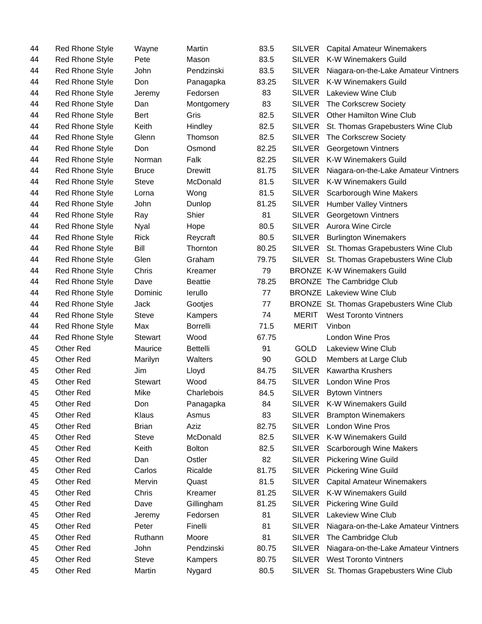| 44 | Red Rhone Style        | Wayne          | Martin          | 83.5  | <b>SILVER</b> | <b>Capital Amateur Winemakers</b>        |
|----|------------------------|----------------|-----------------|-------|---------------|------------------------------------------|
| 44 | <b>Red Rhone Style</b> | Pete           | Mason           | 83.5  | <b>SILVER</b> | K-W Winemakers Guild                     |
| 44 | <b>Red Rhone Style</b> | John           | Pendzinski      | 83.5  | <b>SILVER</b> | Niagara-on-the-Lake Amateur Vintners     |
| 44 | <b>Red Rhone Style</b> | Don            | Panagapka       | 83.25 | <b>SILVER</b> | K-W Winemakers Guild                     |
| 44 | <b>Red Rhone Style</b> | Jeremy         | Fedorsen        | 83    | <b>SILVER</b> | Lakeview Wine Club                       |
| 44 | <b>Red Rhone Style</b> | Dan            | Montgomery      | 83    | <b>SILVER</b> | The Corkscrew Society                    |
| 44 | <b>Red Rhone Style</b> | Bert           | Gris            | 82.5  | <b>SILVER</b> | Other Hamilton Wine Club                 |
| 44 | Red Rhone Style        | Keith          | Hindley         | 82.5  | SILVER        | St. Thomas Grapebusters Wine Club        |
| 44 | <b>Red Rhone Style</b> | Glenn          | Thomson         | 82.5  | <b>SILVER</b> | The Corkscrew Society                    |
| 44 | <b>Red Rhone Style</b> | Don            | Osmond          | 82.25 | <b>SILVER</b> | Georgetown Vintners                      |
| 44 | <b>Red Rhone Style</b> | Norman         | Falk            | 82.25 | <b>SILVER</b> | <b>K-W Winemakers Guild</b>              |
| 44 | <b>Red Rhone Style</b> | <b>Bruce</b>   | <b>Drewitt</b>  | 81.75 | <b>SILVER</b> | Niagara-on-the-Lake Amateur Vintners     |
| 44 | <b>Red Rhone Style</b> | <b>Steve</b>   | McDonald        | 81.5  | <b>SILVER</b> | K-W Winemakers Guild                     |
| 44 | <b>Red Rhone Style</b> | Lorna          | Wong            | 81.5  | <b>SILVER</b> | Scarborough Wine Makers                  |
| 44 | <b>Red Rhone Style</b> | John           | Dunlop          | 81.25 | <b>SILVER</b> | <b>Humber Valley Vintners</b>            |
| 44 | <b>Red Rhone Style</b> | Ray            | Shier           | 81    | <b>SILVER</b> | Georgetown Vintners                      |
| 44 | <b>Red Rhone Style</b> | <b>Nyal</b>    | Hope            | 80.5  |               | SILVER Aurora Wine Circle                |
| 44 | <b>Red Rhone Style</b> | Rick           | Reycraft        | 80.5  | <b>SILVER</b> | <b>Burlington Winemakers</b>             |
| 44 | <b>Red Rhone Style</b> | Bill           | Thornton        | 80.25 | <b>SILVER</b> | St. Thomas Grapebusters Wine Club        |
| 44 | <b>Red Rhone Style</b> | Glen           | Graham          | 79.75 | <b>SILVER</b> | St. Thomas Grapebusters Wine Club        |
| 44 | <b>Red Rhone Style</b> | Chris          | Kreamer         | 79    |               | <b>BRONZE K-W Winemakers Guild</b>       |
| 44 | <b>Red Rhone Style</b> | Dave           | <b>Beattie</b>  | 78.25 |               | <b>BRONZE</b> The Cambridge Club         |
| 44 | Red Rhone Style        | Dominic        | lerullo         | 77    |               | <b>BRONZE</b> Lakeview Wine Club         |
| 44 | <b>Red Rhone Style</b> | Jack           | Gootjes         | 77    |               | BRONZE St. Thomas Grapebusters Wine Club |
| 44 | <b>Red Rhone Style</b> | <b>Steve</b>   | Kampers         | 74    | <b>MERIT</b>  | <b>West Toronto Vintners</b>             |
| 44 | Red Rhone Style        | Max            | <b>Borrelli</b> | 71.5  | <b>MERIT</b>  | Vinbon                                   |
| 44 | <b>Red Rhone Style</b> | <b>Stewart</b> | Wood            | 67.75 |               | <b>London Wine Pros</b>                  |
| 45 | Other Red              | Maurice        | <b>Bettelli</b> | 91    | <b>GOLD</b>   | Lakeview Wine Club                       |
| 45 | Other Red              | Marilyn        | Walters         | 90    | <b>GOLD</b>   | Members at Large Club                    |
| 45 | Other Red              | Jim            | Lloyd           | 84.75 | <b>SILVER</b> | <b>Kawartha Krushers</b>                 |
| 45 | Other Red              | <b>Stewart</b> | Wood            | 84.75 | <b>SILVER</b> | <b>London Wine Pros</b>                  |
| 45 | <b>Other Red</b>       | Mike           | Charlebois      | 84.5  | <b>SILVER</b> | <b>Bytown Vintners</b>                   |
| 45 | Other Red              | Don            | Panagapka       | 84    | <b>SILVER</b> | <b>K-W Winemakers Guild</b>              |
| 45 | Other Red              | Klaus          | Asmus           | 83    | <b>SILVER</b> | <b>Brampton Winemakers</b>               |
| 45 | Other Red              | <b>Brian</b>   | Aziz            | 82.75 | <b>SILVER</b> | London Wine Pros                         |
| 45 | Other Red              | <b>Steve</b>   | McDonald        | 82.5  | <b>SILVER</b> | K-W Winemakers Guild                     |
| 45 | Other Red              | Keith          | <b>Bolton</b>   | 82.5  | <b>SILVER</b> | Scarborough Wine Makers                  |
| 45 | Other Red              | Dan            | Ostler          | 82    | <b>SILVER</b> | <b>Pickering Wine Guild</b>              |
| 45 | Other Red              | Carlos         | Ricalde         | 81.75 | <b>SILVER</b> | <b>Pickering Wine Guild</b>              |
| 45 | Other Red              | Mervin         | Quast           | 81.5  | <b>SILVER</b> | <b>Capital Amateur Winemakers</b>        |
| 45 | Other Red              | Chris          | Kreamer         | 81.25 | <b>SILVER</b> | K-W Winemakers Guild                     |
| 45 | Other Red              | Dave           | Gillingham      | 81.25 | <b>SILVER</b> | <b>Pickering Wine Guild</b>              |
| 45 | Other Red              | Jeremy         | Fedorsen        | 81    | <b>SILVER</b> | Lakeview Wine Club                       |
| 45 | Other Red              | Peter          | Finelli         | 81    | <b>SILVER</b> | Niagara-on-the-Lake Amateur Vintners     |
| 45 | Other Red              | Ruthann        | Moore           | 81    | <b>SILVER</b> | The Cambridge Club                       |
| 45 | Other Red              | John           | Pendzinski      | 80.75 | <b>SILVER</b> | Niagara-on-the-Lake Amateur Vintners     |
| 45 | Other Red              | <b>Steve</b>   | Kampers         | 80.75 | <b>SILVER</b> | <b>West Toronto Vintners</b>             |
| 45 | Other Red              | Martin         | Nygard          | 80.5  | SILVER        | St. Thomas Grapebusters Wine Club        |
|    |                        |                |                 |       |               |                                          |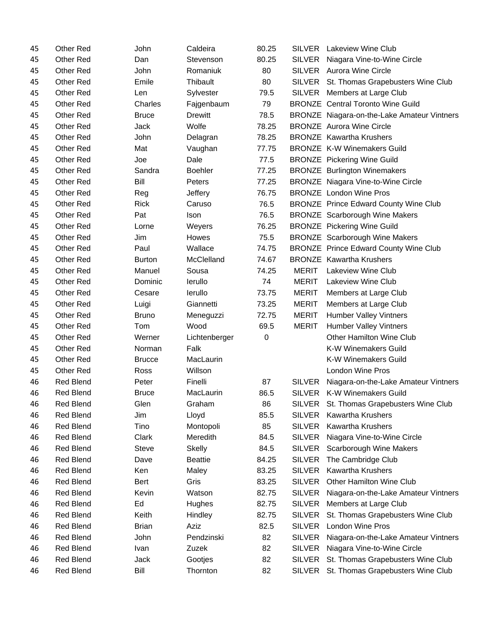| 45 | Other Red        | John          | Caldeira       | 80.25 | SILVER        | <b>Lakeview Wine Club</b>                    |
|----|------------------|---------------|----------------|-------|---------------|----------------------------------------------|
| 45 | <b>Other Red</b> | Dan           | Stevenson      | 80.25 | SILVER        | Niagara Vine-to-Wine Circle                  |
| 45 | Other Red        | John          | Romaniuk       | 80    |               | SILVER Aurora Wine Circle                    |
| 45 | Other Red        | Emile         | Thibault       | 80    | <b>SILVER</b> | St. Thomas Grapebusters Wine Club            |
| 45 | Other Red        | Len           | Sylvester      | 79.5  | <b>SILVER</b> | Members at Large Club                        |
| 45 | Other Red        | Charles       | Fajgenbaum     | 79    |               | <b>BRONZE</b> Central Toronto Wine Guild     |
| 45 | Other Red        | <b>Bruce</b>  | Drewitt        | 78.5  |               | BRONZE Niagara-on-the-Lake Amateur Vintners  |
| 45 | Other Red        | Jack          | Wolfe          | 78.25 |               | <b>BRONZE</b> Aurora Wine Circle             |
| 45 | Other Red        | John          | Delagran       | 78.25 |               | <b>BRONZE</b> Kawartha Krushers              |
| 45 | Other Red        | Mat           | Vaughan        | 77.75 |               | <b>BRONZE K-W Winemakers Guild</b>           |
| 45 | Other Red        | Joe           | Dale           | 77.5  |               | <b>BRONZE</b> Pickering Wine Guild           |
| 45 | Other Red        | Sandra        | <b>Boehler</b> | 77.25 |               | <b>BRONZE</b> Burlington Winemakers          |
| 45 | Other Red        | Bill          | Peters         | 77.25 |               | BRONZE Niagara Vine-to-Wine Circle           |
| 45 | Other Red        | Reg           | Jeffery        | 76.75 |               | <b>BRONZE</b> London Wine Pros               |
| 45 | Other Red        | <b>Rick</b>   | Caruso         | 76.5  |               | <b>BRONZE</b> Prince Edward County Wine Club |
| 45 | Other Red        | Pat           | Ison           | 76.5  |               | <b>BRONZE</b> Scarborough Wine Makers        |
| 45 | Other Red        | Lorne         | Weyers         | 76.25 |               | <b>BRONZE</b> Pickering Wine Guild           |
| 45 | Other Red        | Jim           | Howes          | 75.5  |               | <b>BRONZE</b> Scarborough Wine Makers        |
| 45 | Other Red        | Paul          | Wallace        | 74.75 |               | <b>BRONZE</b> Prince Edward County Wine Club |
| 45 | Other Red        | <b>Burton</b> | McClelland     | 74.67 |               | <b>BRONZE</b> Kawartha Krushers              |
| 45 | Other Red        | Manuel        | Sousa          | 74.25 | <b>MERIT</b>  | <b>Lakeview Wine Club</b>                    |
| 45 | Other Red        | Dominic       | lerullo        | 74    | <b>MERIT</b>  | Lakeview Wine Club                           |
| 45 | Other Red        | Cesare        | lerullo        | 73.75 | <b>MERIT</b>  | Members at Large Club                        |
| 45 | Other Red        | Luigi         | Giannetti      | 73.25 | <b>MERIT</b>  | Members at Large Club                        |
| 45 | Other Red        | <b>Bruno</b>  | Meneguzzi      | 72.75 | <b>MERIT</b>  | <b>Humber Valley Vintners</b>                |
| 45 | Other Red        | Tom           | Wood           | 69.5  | <b>MERIT</b>  | <b>Humber Valley Vintners</b>                |
| 45 | Other Red        | Werner        | Lichtenberger  | 0     |               | Other Hamilton Wine Club                     |
| 45 | Other Red        | Norman        | Falk           |       |               | K-W Winemakers Guild                         |
| 45 | Other Red        | <b>Brucce</b> | MacLaurin      |       |               | K-W Winemakers Guild                         |
| 45 | Other Red        | Ross          | Willson        |       |               | <b>London Wine Pros</b>                      |
| 46 | <b>Red Blend</b> | Peter         | Finelli        | 87    | <b>SILVER</b> | Niagara-on-the-Lake Amateur Vintners         |
| 46 | <b>Red Blend</b> | Bruce         | MacLaurin      | 86.5  | <b>SILVER</b> | K-W Winemakers Guild                         |
| 46 | <b>Red Blend</b> | Glen          | Graham         | 86    | <b>SILVER</b> | St. Thomas Grapebusters Wine Club            |
| 46 | <b>Red Blend</b> | Jim           | Lloyd          | 85.5  | <b>SILVER</b> | <b>Kawartha Krushers</b>                     |
| 46 | <b>Red Blend</b> | Tino          | Montopoli      | 85    | <b>SILVER</b> | <b>Kawartha Krushers</b>                     |
| 46 | <b>Red Blend</b> | Clark         | Meredith       | 84.5  | <b>SILVER</b> | Niagara Vine-to-Wine Circle                  |
| 46 | <b>Red Blend</b> | <b>Steve</b>  | <b>Skelly</b>  | 84.5  | <b>SILVER</b> | Scarborough Wine Makers                      |
| 46 | <b>Red Blend</b> | Dave          | <b>Beattie</b> | 84.25 | <b>SILVER</b> | The Cambridge Club                           |
| 46 | <b>Red Blend</b> | Ken           | Maley          | 83.25 | <b>SILVER</b> | <b>Kawartha Krushers</b>                     |
| 46 | <b>Red Blend</b> | Bert          | Gris           | 83.25 | <b>SILVER</b> | Other Hamilton Wine Club                     |
| 46 | <b>Red Blend</b> | Kevin         | Watson         | 82.75 | <b>SILVER</b> | Niagara-on-the-Lake Amateur Vintners         |
| 46 | <b>Red Blend</b> | Ed            | Hughes         | 82.75 | <b>SILVER</b> | Members at Large Club                        |
| 46 | <b>Red Blend</b> | Keith         | Hindley        | 82.75 | <b>SILVER</b> | St. Thomas Grapebusters Wine Club            |
| 46 | <b>Red Blend</b> | <b>Brian</b>  | Aziz           | 82.5  | <b>SILVER</b> | London Wine Pros                             |
| 46 | <b>Red Blend</b> | John          | Pendzinski     | 82    | <b>SILVER</b> | Niagara-on-the-Lake Amateur Vintners         |
| 46 | <b>Red Blend</b> | Ivan          | Zuzek          | 82    | <b>SILVER</b> | Niagara Vine-to-Wine Circle                  |
| 46 | <b>Red Blend</b> | Jack          | Gootjes        | 82    | <b>SILVER</b> | St. Thomas Grapebusters Wine Club            |
| 46 | <b>Red Blend</b> | Bill          | Thornton       | 82    | <b>SILVER</b> | St. Thomas Grapebusters Wine Club            |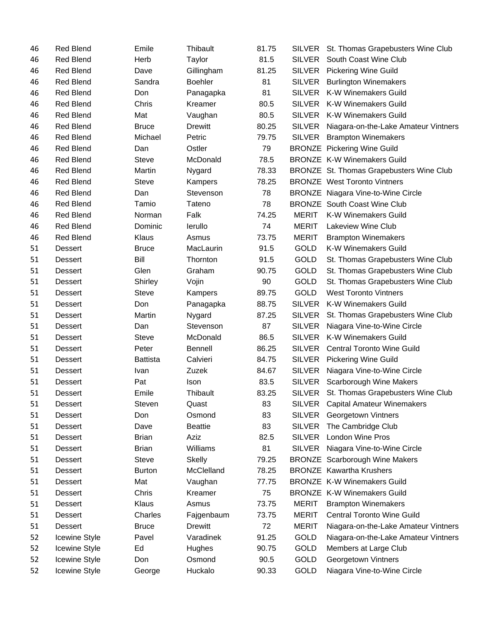| 46 | <b>Red Blend</b> | Emile           | Thibault       | 81.75 |               | SILVER St. Thomas Grapebusters Wine Club  |
|----|------------------|-----------------|----------------|-------|---------------|-------------------------------------------|
| 46 | <b>Red Blend</b> | Herb            | Taylor         | 81.5  | <b>SILVER</b> | South Coast Wine Club                     |
| 46 | <b>Red Blend</b> | Dave            | Gillingham     | 81.25 | <b>SILVER</b> | <b>Pickering Wine Guild</b>               |
| 46 | <b>Red Blend</b> | Sandra          | <b>Boehler</b> | 81    | <b>SILVER</b> | <b>Burlington Winemakers</b>              |
| 46 | <b>Red Blend</b> | Don             | Panagapka      | 81    | <b>SILVER</b> | <b>K-W Winemakers Guild</b>               |
| 46 | <b>Red Blend</b> | Chris           | Kreamer        | 80.5  | <b>SILVER</b> | <b>K-W Winemakers Guild</b>               |
| 46 | <b>Red Blend</b> | Mat             | Vaughan        | 80.5  | SILVER        | <b>K-W Winemakers Guild</b>               |
| 46 | <b>Red Blend</b> | <b>Bruce</b>    | <b>Drewitt</b> | 80.25 | <b>SILVER</b> | Niagara-on-the-Lake Amateur Vintners      |
| 46 | <b>Red Blend</b> | Michael         | Petric         | 79.75 | <b>SILVER</b> | <b>Brampton Winemakers</b>                |
| 46 | <b>Red Blend</b> | Dan             | Ostler         | 79    |               | <b>BRONZE</b> Pickering Wine Guild        |
| 46 | <b>Red Blend</b> | <b>Steve</b>    | McDonald       | 78.5  |               | <b>BRONZE K-W Winemakers Guild</b>        |
| 46 | <b>Red Blend</b> | Martin          | Nygard         | 78.33 |               | BRONZE St. Thomas Grapebusters Wine Club  |
| 46 | <b>Red Blend</b> | Steve           | Kampers        | 78.25 |               | <b>BRONZE</b> West Toronto Vintners       |
| 46 | <b>Red Blend</b> | Dan             | Stevenson      | 78    |               | <b>BRONZE</b> Niagara Vine-to-Wine Circle |
| 46 | <b>Red Blend</b> | Tamio           | Tateno         | 78    |               | <b>BRONZE</b> South Coast Wine Club       |
| 46 | <b>Red Blend</b> | Norman          | Falk           | 74.25 | <b>MERIT</b>  | <b>K-W Winemakers Guild</b>               |
| 46 | <b>Red Blend</b> | Dominic         | lerullo        | 74    | <b>MERIT</b>  | <b>Lakeview Wine Club</b>                 |
| 46 | <b>Red Blend</b> | Klaus           | Asmus          | 73.75 | <b>MERIT</b>  | <b>Brampton Winemakers</b>                |
| 51 | <b>Dessert</b>   | <b>Bruce</b>    | MacLaurin      | 91.5  | <b>GOLD</b>   | <b>K-W Winemakers Guild</b>               |
| 51 | <b>Dessert</b>   | Bill            | Thornton       | 91.5  | GOLD          | St. Thomas Grapebusters Wine Club         |
| 51 | <b>Dessert</b>   | Glen            | Graham         | 90.75 | GOLD          | St. Thomas Grapebusters Wine Club         |
| 51 | <b>Dessert</b>   | Shirley         | Vojin          | 90    | <b>GOLD</b>   | St. Thomas Grapebusters Wine Club         |
| 51 | <b>Dessert</b>   | <b>Steve</b>    | Kampers        | 89.75 | <b>GOLD</b>   | <b>West Toronto Vintners</b>              |
| 51 | <b>Dessert</b>   | Don             | Panagapka      | 88.75 | <b>SILVER</b> | <b>K-W Winemakers Guild</b>               |
| 51 | <b>Dessert</b>   | Martin          | Nygard         | 87.25 | <b>SILVER</b> | St. Thomas Grapebusters Wine Club         |
| 51 | <b>Dessert</b>   | Dan             | Stevenson      | 87    | <b>SILVER</b> | Niagara Vine-to-Wine Circle               |
| 51 | <b>Dessert</b>   | <b>Steve</b>    | McDonald       | 86.5  | <b>SILVER</b> | <b>K-W Winemakers Guild</b>               |
| 51 | <b>Dessert</b>   | Peter           | <b>Bennell</b> | 86.25 | <b>SILVER</b> | <b>Central Toronto Wine Guild</b>         |
| 51 | <b>Dessert</b>   | <b>Battista</b> | Calvieri       | 84.75 | <b>SILVER</b> | <b>Pickering Wine Guild</b>               |
| 51 | <b>Dessert</b>   | Ivan            | Zuzek          | 84.67 | <b>SILVER</b> | Niagara Vine-to-Wine Circle               |
| 51 | <b>Dessert</b>   | Pat             | Ison           | 83.5  | <b>SILVER</b> | Scarborough Wine Makers                   |
| 51 | Dessert          | Emile           | Thibault       | 83.25 | <b>SILVER</b> | St. Thomas Grapebusters Wine Club         |
| 51 | <b>Dessert</b>   | Steven          | Quast          | 83    | SILVER        | <b>Capital Amateur Winemakers</b>         |
| 51 | <b>Dessert</b>   | Don             | Osmond         | 83    | <b>SILVER</b> | Georgetown Vintners                       |
| 51 | <b>Dessert</b>   | Dave            | <b>Beattie</b> | 83    | <b>SILVER</b> | The Cambridge Club                        |
| 51 | <b>Dessert</b>   | <b>Brian</b>    | Aziz           | 82.5  | <b>SILVER</b> | <b>London Wine Pros</b>                   |
| 51 | <b>Dessert</b>   | <b>Brian</b>    | Williams       | 81    | SILVER        | Niagara Vine-to-Wine Circle               |
| 51 | <b>Dessert</b>   | <b>Steve</b>    | <b>Skelly</b>  | 79.25 |               | <b>BRONZE</b> Scarborough Wine Makers     |
| 51 | <b>Dessert</b>   | <b>Burton</b>   | McClelland     | 78.25 |               | <b>BRONZE</b> Kawartha Krushers           |
| 51 | <b>Dessert</b>   | Mat             | Vaughan        | 77.75 |               | <b>BRONZE K-W Winemakers Guild</b>        |
| 51 | <b>Dessert</b>   | Chris           | Kreamer        | 75    |               | <b>BRONZE K-W Winemakers Guild</b>        |
| 51 | <b>Dessert</b>   | Klaus           | Asmus          | 73.75 | <b>MERIT</b>  | <b>Brampton Winemakers</b>                |
| 51 | <b>Dessert</b>   | Charles         | Fajgenbaum     | 73.75 | <b>MERIT</b>  | <b>Central Toronto Wine Guild</b>         |
| 51 | <b>Dessert</b>   | <b>Bruce</b>    | <b>Drewitt</b> | 72    | <b>MERIT</b>  | Niagara-on-the-Lake Amateur Vintners      |
| 52 | Icewine Style    | Pavel           | Varadinek      | 91.25 | GOLD          | Niagara-on-the-Lake Amateur Vintners      |
| 52 | Icewine Style    | Ed              | Hughes         | 90.75 | GOLD          | Members at Large Club                     |
| 52 | Icewine Style    | Don             | Osmond         | 90.5  | <b>GOLD</b>   | Georgetown Vintners                       |
| 52 | Icewine Style    | George          | Huckalo        | 90.33 | GOLD          | Niagara Vine-to-Wine Circle               |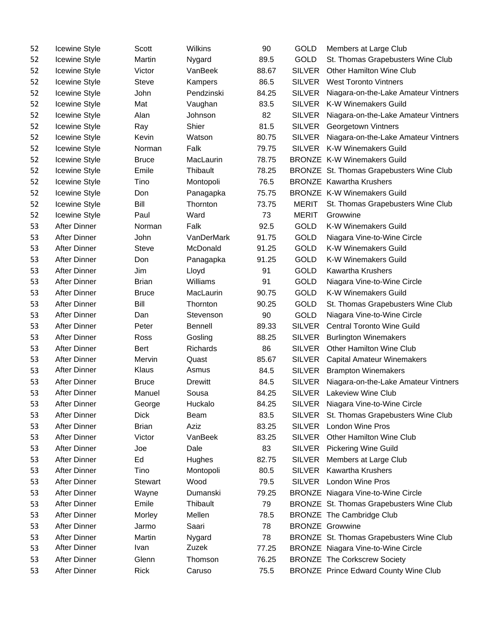| 52 | <b>Icewine Style</b> | Scott          | Wilkins        | 90    | GOLD          | Members at Large Club                        |
|----|----------------------|----------------|----------------|-------|---------------|----------------------------------------------|
| 52 | Icewine Style        | Martin         | Nygard         | 89.5  | GOLD          | St. Thomas Grapebusters Wine Club            |
| 52 | Icewine Style        | Victor         | VanBeek        | 88.67 | <b>SILVER</b> | <b>Other Hamilton Wine Club</b>              |
| 52 | Icewine Style        | <b>Steve</b>   | Kampers        | 86.5  | <b>SILVER</b> | <b>West Toronto Vintners</b>                 |
| 52 | Icewine Style        | John           | Pendzinski     | 84.25 | <b>SILVER</b> | Niagara-on-the-Lake Amateur Vintners         |
| 52 | Icewine Style        | Mat            | Vaughan        | 83.5  | <b>SILVER</b> | <b>K-W Winemakers Guild</b>                  |
| 52 | Icewine Style        | Alan           | Johnson        | 82    | <b>SILVER</b> | Niagara-on-the-Lake Amateur Vintners         |
| 52 | Icewine Style        | Ray            | Shier          | 81.5  | <b>SILVER</b> | Georgetown Vintners                          |
| 52 | Icewine Style        | Kevin          | Watson         | 80.75 | <b>SILVER</b> | Niagara-on-the-Lake Amateur Vintners         |
| 52 | Icewine Style        | Norman         | Falk           | 79.75 | <b>SILVER</b> | <b>K-W Winemakers Guild</b>                  |
| 52 | Icewine Style        | <b>Bruce</b>   | MacLaurin      | 78.75 |               | <b>BRONZE K-W Winemakers Guild</b>           |
| 52 | Icewine Style        | Emile          | Thibault       | 78.25 |               | BRONZE St. Thomas Grapebusters Wine Club     |
| 52 | Icewine Style        | Tino           | Montopoli      | 76.5  |               | <b>BRONZE</b> Kawartha Krushers              |
| 52 | Icewine Style        | Don            | Panagapka      | 75.75 |               | <b>BRONZE K-W Winemakers Guild</b>           |
| 52 | Icewine Style        | Bill           | Thornton       | 73.75 | <b>MERIT</b>  | St. Thomas Grapebusters Wine Club            |
| 52 | Icewine Style        | Paul           | Ward           | 73    | <b>MERIT</b>  | Growwine                                     |
| 53 | After Dinner         | Norman         | Falk           | 92.5  | GOLD          | <b>K-W Winemakers Guild</b>                  |
| 53 | After Dinner         | John           | VanDerMark     | 91.75 | <b>GOLD</b>   | Niagara Vine-to-Wine Circle                  |
| 53 | <b>After Dinner</b>  | <b>Steve</b>   | McDonald       | 91.25 | GOLD          | <b>K-W Winemakers Guild</b>                  |
| 53 | <b>After Dinner</b>  | Don            | Panagapka      | 91.25 | <b>GOLD</b>   | <b>K-W Winemakers Guild</b>                  |
| 53 | <b>After Dinner</b>  | Jim            | Lloyd          | 91    | <b>GOLD</b>   | <b>Kawartha Krushers</b>                     |
| 53 | <b>After Dinner</b>  | <b>Brian</b>   | Williams       | 91    | <b>GOLD</b>   | Niagara Vine-to-Wine Circle                  |
| 53 | After Dinner         | <b>Bruce</b>   | MacLaurin      | 90.75 | GOLD          | <b>K-W Winemakers Guild</b>                  |
| 53 | <b>After Dinner</b>  | Bill           | Thornton       | 90.25 | GOLD          | St. Thomas Grapebusters Wine Club            |
| 53 | After Dinner         | Dan            | Stevenson      | 90    | <b>GOLD</b>   | Niagara Vine-to-Wine Circle                  |
| 53 | After Dinner         | Peter          | <b>Bennell</b> | 89.33 | <b>SILVER</b> | <b>Central Toronto Wine Guild</b>            |
| 53 | After Dinner         | Ross           | Gosling        | 88.25 | <b>SILVER</b> | <b>Burlington Winemakers</b>                 |
| 53 | <b>After Dinner</b>  | <b>Bert</b>    | Richards       | 86    | <b>SILVER</b> | <b>Other Hamilton Wine Club</b>              |
| 53 | <b>After Dinner</b>  | Mervin         | Quast          | 85.67 | <b>SILVER</b> | <b>Capital Amateur Winemakers</b>            |
| 53 | After Dinner         | Klaus          | Asmus          | 84.5  | <b>SILVER</b> | <b>Brampton Winemakers</b>                   |
| 53 | <b>After Dinner</b>  | <b>Bruce</b>   | <b>Drewitt</b> | 84.5  | <b>SILVER</b> | Niagara-on-the-Lake Amateur Vintners         |
| 53 | After Dinner         | Manuel         | Sousa          | 84.25 | <b>SILVER</b> | Lakeview Wine Club                           |
| 53 | After Dinner         | George         | Huckalo        | 84.25 |               | SILVER Niagara Vine-to-Wine Circle           |
| 53 | <b>After Dinner</b>  | <b>Dick</b>    | Beam           | 83.5  | <b>SILVER</b> | St. Thomas Grapebusters Wine Club            |
| 53 | After Dinner         | <b>Brian</b>   | Aziz           | 83.25 | <b>SILVER</b> | <b>London Wine Pros</b>                      |
| 53 | After Dinner         | Victor         | VanBeek        | 83.25 | <b>SILVER</b> | <b>Other Hamilton Wine Club</b>              |
| 53 | After Dinner         | Joe            | Dale           | 83    | <b>SILVER</b> | <b>Pickering Wine Guild</b>                  |
| 53 | After Dinner         | Ed             | Hughes         | 82.75 | <b>SILVER</b> | Members at Large Club                        |
| 53 | After Dinner         | Tino           | Montopoli      | 80.5  | <b>SILVER</b> | <b>Kawartha Krushers</b>                     |
| 53 | <b>After Dinner</b>  | <b>Stewart</b> | Wood           | 79.5  | <b>SILVER</b> | <b>London Wine Pros</b>                      |
| 53 | After Dinner         | Wayne          | Dumanski       | 79.25 |               | BRONZE Niagara Vine-to-Wine Circle           |
| 53 | After Dinner         | Emile          | Thibault       | 79    |               | BRONZE St. Thomas Grapebusters Wine Club     |
| 53 | After Dinner         | Morley         | Mellen         | 78.5  |               | <b>BRONZE</b> The Cambridge Club             |
| 53 | After Dinner         | Jarmo          | Saari          | 78    |               | <b>BRONZE Growwine</b>                       |
| 53 | After Dinner         | Martin         | Nygard         | 78    |               | BRONZE St. Thomas Grapebusters Wine Club     |
| 53 | After Dinner         | Ivan           | Zuzek          | 77.25 |               | <b>BRONZE</b> Niagara Vine-to-Wine Circle    |
| 53 | After Dinner         | Glenn          | Thomson        | 76.25 |               | <b>BRONZE The Corkscrew Society</b>          |
| 53 | After Dinner         | <b>Rick</b>    | Caruso         | 75.5  |               | <b>BRONZE Prince Edward County Wine Club</b> |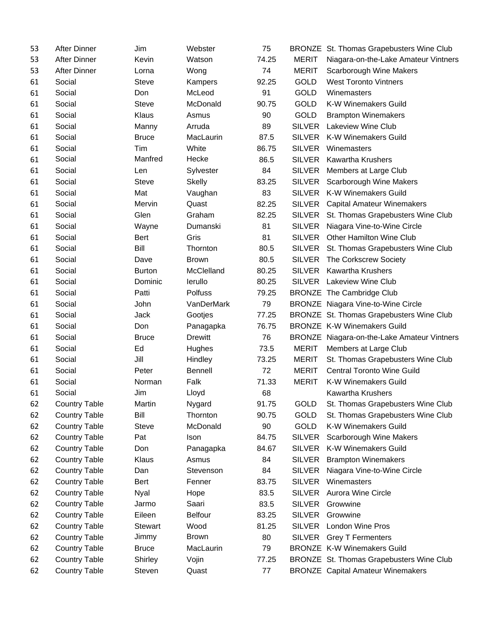| 53 | After Dinner         | Jim            | Webster        | 75    |               | BRONZE St. Thomas Grapebusters Wine Club    |
|----|----------------------|----------------|----------------|-------|---------------|---------------------------------------------|
| 53 | After Dinner         | Kevin          | Watson         | 74.25 | <b>MERIT</b>  | Niagara-on-the-Lake Amateur Vintners        |
| 53 | <b>After Dinner</b>  | Lorna          | Wong           | 74    | <b>MERIT</b>  | Scarborough Wine Makers                     |
| 61 | Social               | Steve          | Kampers        | 92.25 | <b>GOLD</b>   | <b>West Toronto Vintners</b>                |
| 61 | Social               | Don            | McLeod         | 91    | <b>GOLD</b>   | Winemasters                                 |
| 61 | Social               | Steve          | McDonald       | 90.75 | <b>GOLD</b>   | K-W Winemakers Guild                        |
| 61 | Social               | Klaus          | Asmus          | 90    | <b>GOLD</b>   | <b>Brampton Winemakers</b>                  |
| 61 | Social               | Manny          | Arruda         | 89    | <b>SILVER</b> | Lakeview Wine Club                          |
| 61 | Social               | <b>Bruce</b>   | MacLaurin      | 87.5  | <b>SILVER</b> | <b>K-W Winemakers Guild</b>                 |
| 61 | Social               | Tim            | White          | 86.75 | <b>SILVER</b> | Winemasters                                 |
| 61 | Social               | Manfred        | Hecke          | 86.5  | <b>SILVER</b> | <b>Kawartha Krushers</b>                    |
| 61 | Social               | Len            | Sylvester      | 84    | <b>SILVER</b> | Members at Large Club                       |
| 61 | Social               | <b>Steve</b>   | <b>Skelly</b>  | 83.25 | <b>SILVER</b> | Scarborough Wine Makers                     |
| 61 | Social               | Mat            | Vaughan        | 83    | <b>SILVER</b> | <b>K-W Winemakers Guild</b>                 |
| 61 | Social               | Mervin         | Quast          | 82.25 | <b>SILVER</b> | <b>Capital Amateur Winemakers</b>           |
| 61 | Social               | Glen           | Graham         | 82.25 | <b>SILVER</b> | St. Thomas Grapebusters Wine Club           |
| 61 | Social               | Wayne          | Dumanski       | 81    | <b>SILVER</b> | Niagara Vine-to-Wine Circle                 |
| 61 | Social               | Bert           | Gris           | 81    | <b>SILVER</b> | <b>Other Hamilton Wine Club</b>             |
| 61 | Social               | Bill           | Thornton       | 80.5  | <b>SILVER</b> | St. Thomas Grapebusters Wine Club           |
| 61 | Social               | Dave           | <b>Brown</b>   | 80.5  | <b>SILVER</b> | The Corkscrew Society                       |
| 61 | Social               | <b>Burton</b>  | McClelland     | 80.25 | <b>SILVER</b> | <b>Kawartha Krushers</b>                    |
| 61 | Social               | Dominic        | lerullo        | 80.25 | <b>SILVER</b> | Lakeview Wine Club                          |
| 61 | Social               | Patti          | Polfuss        | 79.25 |               | <b>BRONZE</b> The Cambridge Club            |
| 61 | Social               | John           | VanDerMark     | 79    |               | <b>BRONZE</b> Niagara Vine-to-Wine Circle   |
| 61 | Social               | Jack           | Gootjes        | 77.25 |               | BRONZE St. Thomas Grapebusters Wine Club    |
| 61 | Social               | Don            | Panagapka      | 76.75 |               | <b>BRONZE K-W Winemakers Guild</b>          |
| 61 | Social               | <b>Bruce</b>   | Drewitt        | 76    |               | BRONZE Niagara-on-the-Lake Amateur Vintners |
| 61 | Social               | Ed             | Hughes         | 73.5  | <b>MERIT</b>  | Members at Large Club                       |
| 61 | Social               | Jill           | Hindley        | 73.25 | <b>MERIT</b>  | St. Thomas Grapebusters Wine Club           |
| 61 | Social               | Peter          | <b>Bennell</b> | 72    | <b>MERIT</b>  | <b>Central Toronto Wine Guild</b>           |
| 61 | Social               | Norman         | Falk           | 71.33 | <b>MERIT</b>  | K-W Winemakers Guild                        |
| 61 | Social               | Jim            | Lloyd          | 68    |               | <b>Kawartha Krushers</b>                    |
| 62 | <b>Country Table</b> | Martin         | Nygard         | 91.75 | <b>GOLD</b>   | St. Thomas Grapebusters Wine Club           |
| 62 | <b>Country Table</b> | Bill           | Thornton       | 90.75 | GOLD          | St. Thomas Grapebusters Wine Club           |
| 62 | <b>Country Table</b> | Steve          | McDonald       | 90    | <b>GOLD</b>   | K-W Winemakers Guild                        |
| 62 | <b>Country Table</b> | Pat            | Ison           | 84.75 | <b>SILVER</b> | Scarborough Wine Makers                     |
| 62 | <b>Country Table</b> | Don            | Panagapka      | 84.67 | <b>SILVER</b> | K-W Winemakers Guild                        |
| 62 | <b>Country Table</b> | Klaus          | Asmus          | 84    | <b>SILVER</b> | <b>Brampton Winemakers</b>                  |
| 62 | <b>Country Table</b> | Dan            | Stevenson      | 84    | <b>SILVER</b> | Niagara Vine-to-Wine Circle                 |
| 62 | <b>Country Table</b> | <b>Bert</b>    | Fenner         | 83.75 | <b>SILVER</b> | Winemasters                                 |
| 62 | <b>Country Table</b> | <b>Nyal</b>    | Hope           | 83.5  | <b>SILVER</b> | Aurora Wine Circle                          |
| 62 | <b>Country Table</b> | Jarmo          | Saari          | 83.5  | <b>SILVER</b> | Growwine                                    |
| 62 | <b>Country Table</b> | Eileen         | <b>Belfour</b> | 83.25 | <b>SILVER</b> | Growwine                                    |
| 62 | <b>Country Table</b> | <b>Stewart</b> | Wood           | 81.25 | <b>SILVER</b> | <b>London Wine Pros</b>                     |
| 62 | <b>Country Table</b> | Jimmy          | <b>Brown</b>   | 80    | <b>SILVER</b> | <b>Grey T Fermenters</b>                    |
| 62 | <b>Country Table</b> | <b>Bruce</b>   | MacLaurin      | 79    |               | <b>BRONZE K-W Winemakers Guild</b>          |
| 62 | <b>Country Table</b> | Shirley        | Vojin          | 77.25 |               | BRONZE St. Thomas Grapebusters Wine Club    |
| 62 | <b>Country Table</b> | Steven         | Quast          | 77    |               | <b>BRONZE</b> Capital Amateur Winemakers    |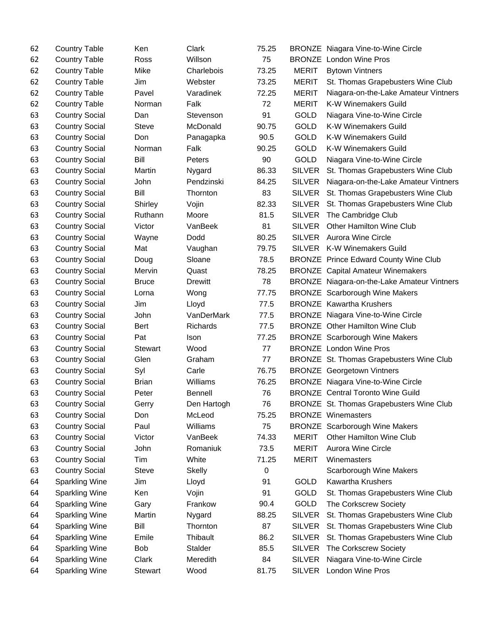| 62 | <b>Country Table</b>  | Ken            | Clark          | 75.25 |               | <b>BRONZE</b> Niagara Vine-to-Wine Circle    |
|----|-----------------------|----------------|----------------|-------|---------------|----------------------------------------------|
| 62 | <b>Country Table</b>  | Ross           | Willson        | 75    |               | <b>BRONZE</b> London Wine Pros               |
| 62 | <b>Country Table</b>  | Mike           | Charlebois     | 73.25 | <b>MERIT</b>  | <b>Bytown Vintners</b>                       |
| 62 | <b>Country Table</b>  | Jim            | Webster        | 73.25 | <b>MERIT</b>  | St. Thomas Grapebusters Wine Club            |
| 62 | <b>Country Table</b>  | Pavel          | Varadinek      | 72.25 | <b>MERIT</b>  | Niagara-on-the-Lake Amateur Vintners         |
| 62 | <b>Country Table</b>  | Norman         | Falk           | 72    | <b>MERIT</b>  | K-W Winemakers Guild                         |
| 63 | <b>Country Social</b> | Dan            | Stevenson      | 91    | <b>GOLD</b>   | Niagara Vine-to-Wine Circle                  |
| 63 | <b>Country Social</b> | Steve          | McDonald       | 90.75 | <b>GOLD</b>   | K-W Winemakers Guild                         |
| 63 | <b>Country Social</b> | Don            | Panagapka      | 90.5  | <b>GOLD</b>   | <b>K-W Winemakers Guild</b>                  |
| 63 | <b>Country Social</b> | Norman         | Falk           | 90.25 | <b>GOLD</b>   | <b>K-W Winemakers Guild</b>                  |
| 63 | <b>Country Social</b> | Bill           | Peters         | 90    | <b>GOLD</b>   | Niagara Vine-to-Wine Circle                  |
| 63 | <b>Country Social</b> | Martin         | Nygard         | 86.33 | <b>SILVER</b> | St. Thomas Grapebusters Wine Club            |
| 63 | <b>Country Social</b> | John           | Pendzinski     | 84.25 | <b>SILVER</b> | Niagara-on-the-Lake Amateur Vintners         |
| 63 | <b>Country Social</b> | Bill           | Thornton       | 83    | <b>SILVER</b> | St. Thomas Grapebusters Wine Club            |
| 63 | <b>Country Social</b> | Shirley        | Vojin          | 82.33 | <b>SILVER</b> | St. Thomas Grapebusters Wine Club            |
| 63 | <b>Country Social</b> | Ruthann        | Moore          | 81.5  | <b>SILVER</b> | The Cambridge Club                           |
| 63 | <b>Country Social</b> | Victor         | VanBeek        | 81    | <b>SILVER</b> | Other Hamilton Wine Club                     |
| 63 | <b>Country Social</b> | Wayne          | Dodd           | 80.25 | <b>SILVER</b> | <b>Aurora Wine Circle</b>                    |
| 63 | <b>Country Social</b> | Mat            | Vaughan        | 79.75 |               | SILVER K-W Winemakers Guild                  |
| 63 | <b>Country Social</b> | Doug           | Sloane         | 78.5  |               | <b>BRONZE Prince Edward County Wine Club</b> |
| 63 | <b>Country Social</b> | Mervin         | Quast          | 78.25 |               | <b>BRONZE</b> Capital Amateur Winemakers     |
| 63 | <b>Country Social</b> | <b>Bruce</b>   | Drewitt        | 78    |               | BRONZE Niagara-on-the-Lake Amateur Vintners  |
| 63 | <b>Country Social</b> | Lorna          | Wong           | 77.75 |               | <b>BRONZE</b> Scarborough Wine Makers        |
| 63 | <b>Country Social</b> | Jim            | Lloyd          | 77.5  |               | <b>BRONZE</b> Kawartha Krushers              |
| 63 | <b>Country Social</b> | John           | VanDerMark     | 77.5  |               | BRONZE Niagara Vine-to-Wine Circle           |
| 63 | <b>Country Social</b> | <b>Bert</b>    | Richards       | 77.5  |               | <b>BRONZE</b> Other Hamilton Wine Club       |
| 63 | <b>Country Social</b> | Pat            | Ison           | 77.25 |               | <b>BRONZE</b> Scarborough Wine Makers        |
| 63 | <b>Country Social</b> | <b>Stewart</b> | Wood           | 77    |               | <b>BRONZE</b> London Wine Pros               |
| 63 | <b>Country Social</b> | Glen           | Graham         | 77    |               | BRONZE St. Thomas Grapebusters Wine Club     |
| 63 | <b>Country Social</b> | Syl            | Carle          | 76.75 |               | <b>BRONZE</b> Georgetown Vintners            |
| 63 | <b>Country Social</b> | <b>Brian</b>   | Williams       | 76.25 |               | <b>BRONZE</b> Niagara Vine-to-Wine Circle    |
| 63 | <b>Country Social</b> | Peter          | <b>Bennell</b> | 76    |               | <b>BRONZE</b> Central Toronto Wine Guild     |
| 63 | <b>Country Social</b> | Gerry          | Den Hartogh    | 76    |               | BRONZE St. Thomas Grapebusters Wine Club     |
| 63 | <b>Country Social</b> | Don            | McLeod         | 75.25 |               | <b>BRONZE</b> Winemasters                    |
| 63 | <b>Country Social</b> | Paul           | Williams       | 75    |               | <b>BRONZE</b> Scarborough Wine Makers        |
| 63 | <b>Country Social</b> | Victor         | VanBeek        | 74.33 | <b>MERIT</b>  | Other Hamilton Wine Club                     |
| 63 | <b>Country Social</b> | John           | Romaniuk       | 73.5  | <b>MERIT</b>  | <b>Aurora Wine Circle</b>                    |
| 63 | <b>Country Social</b> | Tim            | White          | 71.25 | <b>MERIT</b>  | Winemasters                                  |
| 63 | <b>Country Social</b> | Steve          | <b>Skelly</b>  | 0     |               | Scarborough Wine Makers                      |
| 64 | <b>Sparkling Wine</b> | Jim            | Lloyd          | 91    | <b>GOLD</b>   | <b>Kawartha Krushers</b>                     |
| 64 | <b>Sparkling Wine</b> | Ken            | Vojin          | 91    | GOLD          | St. Thomas Grapebusters Wine Club            |
| 64 | <b>Sparkling Wine</b> | Gary           | Frankow        | 90.4  | <b>GOLD</b>   | The Corkscrew Society                        |
| 64 | <b>Sparkling Wine</b> | Martin         | Nygard         | 88.25 | <b>SILVER</b> | St. Thomas Grapebusters Wine Club            |
| 64 | <b>Sparkling Wine</b> | Bill           | Thornton       | 87    | <b>SILVER</b> | St. Thomas Grapebusters Wine Club            |
| 64 | <b>Sparkling Wine</b> | Emile          | Thibault       | 86.2  | <b>SILVER</b> | St. Thomas Grapebusters Wine Club            |
| 64 | Sparkling Wine        | <b>Bob</b>     | Stalder        | 85.5  | <b>SILVER</b> | The Corkscrew Society                        |
| 64 | <b>Sparkling Wine</b> | Clark          | Meredith       | 84    | <b>SILVER</b> | Niagara Vine-to-Wine Circle                  |
| 64 | Sparkling Wine        | <b>Stewart</b> | Wood           | 81.75 | <b>SILVER</b> | London Wine Pros                             |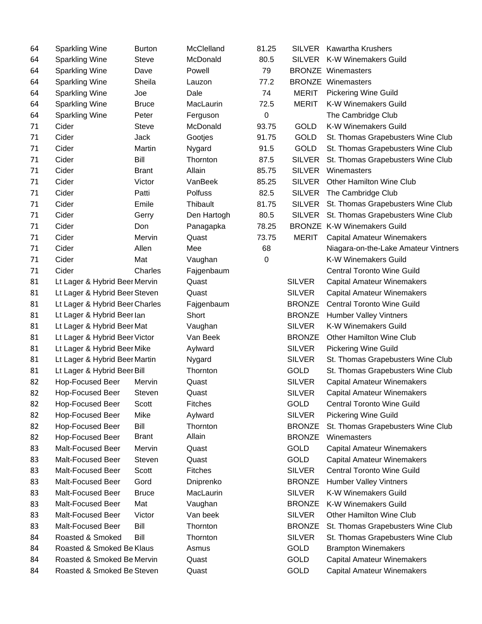| 64 | <b>Sparkling Wine</b>          | <b>Burton</b> | McClelland     | 81.25            | SILVER        | <b>Kawartha Krushers</b>             |
|----|--------------------------------|---------------|----------------|------------------|---------------|--------------------------------------|
| 64 | <b>Sparkling Wine</b>          | <b>Steve</b>  | McDonald       | 80.5             |               | SILVER K-W Winemakers Guild          |
| 64 | <b>Sparkling Wine</b>          | Dave          | Powell         | 79               |               | <b>BRONZE</b> Winemasters            |
| 64 | <b>Sparkling Wine</b>          | Sheila        | Lauzon         | 77.2             |               | <b>BRONZE</b> Winemasters            |
| 64 | <b>Sparkling Wine</b>          | Joe           | Dale           | 74               | <b>MERIT</b>  | <b>Pickering Wine Guild</b>          |
| 64 | <b>Sparkling Wine</b>          | <b>Bruce</b>  | MacLaurin      | 72.5             | <b>MERIT</b>  | K-W Winemakers Guild                 |
| 64 | <b>Sparkling Wine</b>          | Peter         | Ferguson       | 0                |               | The Cambridge Club                   |
| 71 | Cider                          | <b>Steve</b>  | McDonald       | 93.75            | <b>GOLD</b>   | K-W Winemakers Guild                 |
| 71 | Cider                          | Jack          | Gootjes        | 91.75            | <b>GOLD</b>   | St. Thomas Grapebusters Wine Club    |
| 71 | Cider                          | Martin        | Nygard         | 91.5             | <b>GOLD</b>   | St. Thomas Grapebusters Wine Club    |
| 71 | Cider                          | Bill          | Thornton       | 87.5             | SILVER        | St. Thomas Grapebusters Wine Club    |
| 71 | Cider                          | <b>Brant</b>  | Allain         | 85.75            | <b>SILVER</b> | Winemasters                          |
| 71 | Cider                          | Victor        | VanBeek        | 85.25            | <b>SILVER</b> | Other Hamilton Wine Club             |
| 71 | Cider                          | Patti         | Polfuss        | 82.5             | <b>SILVER</b> | The Cambridge Club                   |
| 71 | Cider                          | Emile         | Thibault       | 81.75            | <b>SILVER</b> | St. Thomas Grapebusters Wine Club    |
| 71 | Cider                          | Gerry         | Den Hartogh    | 80.5             | SILVER        | St. Thomas Grapebusters Wine Club    |
| 71 | Cider                          | Don           | Panagapka      | 78.25            |               | <b>BRONZE K-W Winemakers Guild</b>   |
| 71 | Cider                          | Mervin        | Quast          | 73.75            | <b>MERIT</b>  | <b>Capital Amateur Winemakers</b>    |
| 71 | Cider                          | Allen         | Mee            | 68               |               | Niagara-on-the-Lake Amateur Vintners |
| 71 | Cider                          | Mat           | Vaughan        | $\boldsymbol{0}$ |               | K-W Winemakers Guild                 |
| 71 | Cider                          | Charles       | Fajgenbaum     |                  |               | <b>Central Toronto Wine Guild</b>    |
| 81 | Lt Lager & Hybrid Beer Mervin  |               | Quast          |                  | <b>SILVER</b> | <b>Capital Amateur Winemakers</b>    |
| 81 | Lt Lager & Hybrid Beer Steven  |               | Quast          |                  | <b>SILVER</b> | <b>Capital Amateur Winemakers</b>    |
| 81 | Lt Lager & Hybrid Beer Charles |               | Fajgenbaum     |                  | <b>BRONZE</b> | <b>Central Toronto Wine Guild</b>    |
| 81 | Lt Lager & Hybrid Beer lan     |               | Short          |                  | <b>BRONZE</b> | <b>Humber Valley Vintners</b>        |
| 81 | Lt Lager & Hybrid Beer Mat     |               | Vaughan        |                  | <b>SILVER</b> | K-W Winemakers Guild                 |
| 81 | Lt Lager & Hybrid Beer Victor  |               | Van Beek       |                  | <b>BRONZE</b> | Other Hamilton Wine Club             |
| 81 | Lt Lager & Hybrid Beer Mike    |               | Aylward        |                  | <b>SILVER</b> | <b>Pickering Wine Guild</b>          |
| 81 | Lt Lager & Hybrid Beer Martin  |               | Nygard         |                  | <b>SILVER</b> | St. Thomas Grapebusters Wine Club    |
| 81 | Lt Lager & Hybrid Beer Bill    |               | Thornton       |                  | GOLD          | St. Thomas Grapebusters Wine Club    |
| 82 | Hop-Focused Beer               | Mervin        | Quast          |                  | <b>SILVER</b> | <b>Capital Amateur Winemakers</b>    |
| 82 | <b>Hop-Focused Beer</b>        | Steven        | Quast          |                  | <b>SILVER</b> | Capital Amateur Winemakers           |
| 82 | Hop-Focused Beer               | Scott         | <b>Fitches</b> |                  | GOLD          | <b>Central Toronto Wine Guild</b>    |
| 82 | Hop-Focused Beer               | Mike          | Aylward        |                  | <b>SILVER</b> | <b>Pickering Wine Guild</b>          |
| 82 | Hop-Focused Beer               | Bill          | Thornton       |                  | <b>BRONZE</b> | St. Thomas Grapebusters Wine Club    |
| 82 | Hop-Focused Beer               | <b>Brant</b>  | Allain         |                  | <b>BRONZE</b> | Winemasters                          |
| 83 | Malt-Focused Beer              | Mervin        | Quast          |                  | GOLD          | <b>Capital Amateur Winemakers</b>    |
| 83 | <b>Malt-Focused Beer</b>       | <b>Steven</b> | Quast          |                  | <b>GOLD</b>   | <b>Capital Amateur Winemakers</b>    |
| 83 | Malt-Focused Beer              | Scott         | Fitches        |                  | <b>SILVER</b> | <b>Central Toronto Wine Guild</b>    |
| 83 | Malt-Focused Beer              | Gord          | Dniprenko      |                  | <b>BRONZE</b> | <b>Humber Valley Vintners</b>        |
| 83 | Malt-Focused Beer              | <b>Bruce</b>  | MacLaurin      |                  | <b>SILVER</b> | K-W Winemakers Guild                 |
| 83 | Malt-Focused Beer              | Mat           | Vaughan        |                  | <b>BRONZE</b> | K-W Winemakers Guild                 |
| 83 | Malt-Focused Beer              | Victor        | Van beek       |                  | <b>SILVER</b> | Other Hamilton Wine Club             |
| 83 | Malt-Focused Beer              | Bill          | Thornton       |                  | <b>BRONZE</b> | St. Thomas Grapebusters Wine Club    |
| 84 | Roasted & Smoked               | Bill          | Thornton       |                  | <b>SILVER</b> | St. Thomas Grapebusters Wine Club    |
| 84 | Roasted & Smoked Be Klaus      |               | Asmus          |                  | GOLD          | <b>Brampton Winemakers</b>           |
| 84 | Roasted & Smoked Be Mervin     |               | Quast          |                  | GOLD          | <b>Capital Amateur Winemakers</b>    |
| 84 | Roasted & Smoked Be Steven     |               | Quast          |                  | GOLD          | <b>Capital Amateur Winemakers</b>    |
|    |                                |               |                |                  |               |                                      |